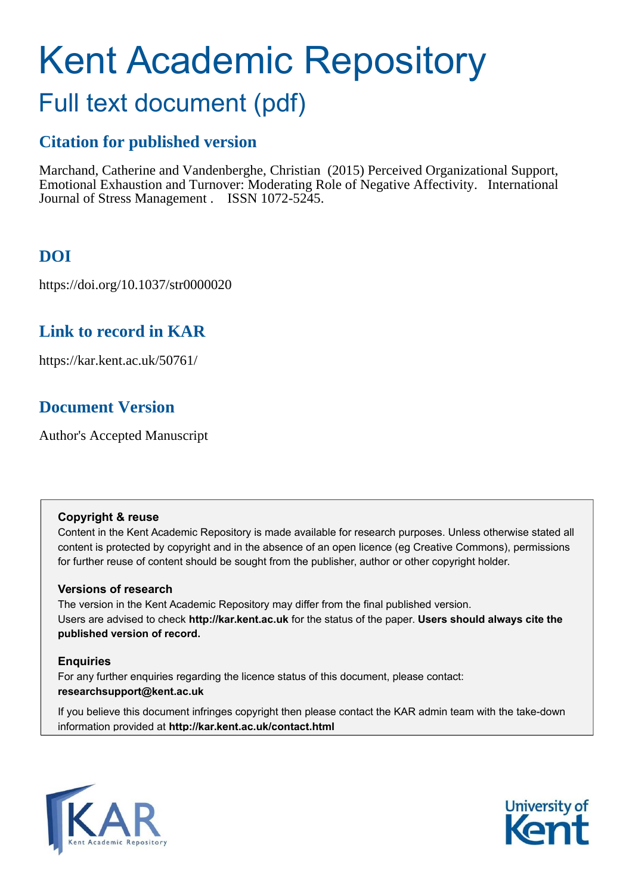# Kent Academic Repository

# Full text document (pdf)

# **Citation for published version**

Marchand, Catherine and Vandenberghe, Christian (2015) Perceived Organizational Support, Emotional Exhaustion and Turnover: Moderating Role of Negative Affectivity. International Journal of Stress Management . ISSN 1072-5245.

# **DOI**

https://doi.org/10.1037/str0000020

# **Link to record in KAR**

https://kar.kent.ac.uk/50761/

# **Document Version**

Author's Accepted Manuscript

## **Copyright & reuse**

Content in the Kent Academic Repository is made available for research purposes. Unless otherwise stated all content is protected by copyright and in the absence of an open licence (eg Creative Commons), permissions for further reuse of content should be sought from the publisher, author or other copyright holder.

## **Versions of research**

The version in the Kent Academic Repository may differ from the final published version. Users are advised to check **http://kar.kent.ac.uk** for the status of the paper. **Users should always cite the published version of record.**

## **Enquiries**

For any further enquiries regarding the licence status of this document, please contact: **researchsupport@kent.ac.uk**

If you believe this document infringes copyright then please contact the KAR admin team with the take-down information provided at **http://kar.kent.ac.uk/contact.html**



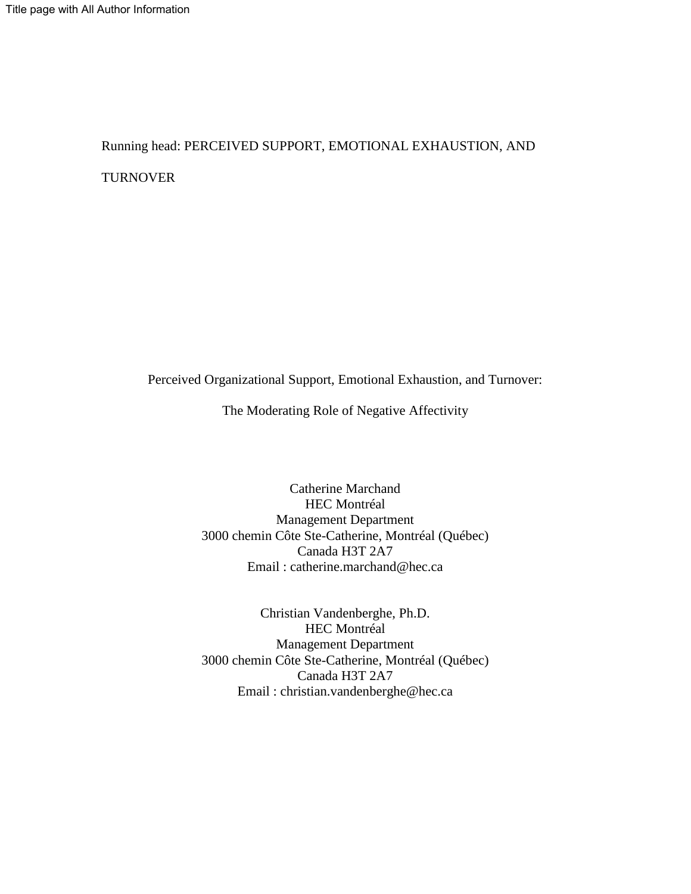Running head: PERCEIVED SUPPORT, EMOTIONAL EXHAUSTION, AND TURNOVER

Perceived Organizational Support, Emotional Exhaustion, and Turnover:

The Moderating Role of Negative Affectivity

Catherine Marchand HEC Montréal Management Department 3000 chemin Côte Ste-Catherine, Montréal (Québec) Canada H3T 2A7 Email : catherine.marchand@hec.ca

Christian Vandenberghe, Ph.D. HEC Montréal Management Department 3000 chemin Côte Ste-Catherine, Montréal (Québec) Canada H3T 2A7 Email : christian.vandenberghe@hec.ca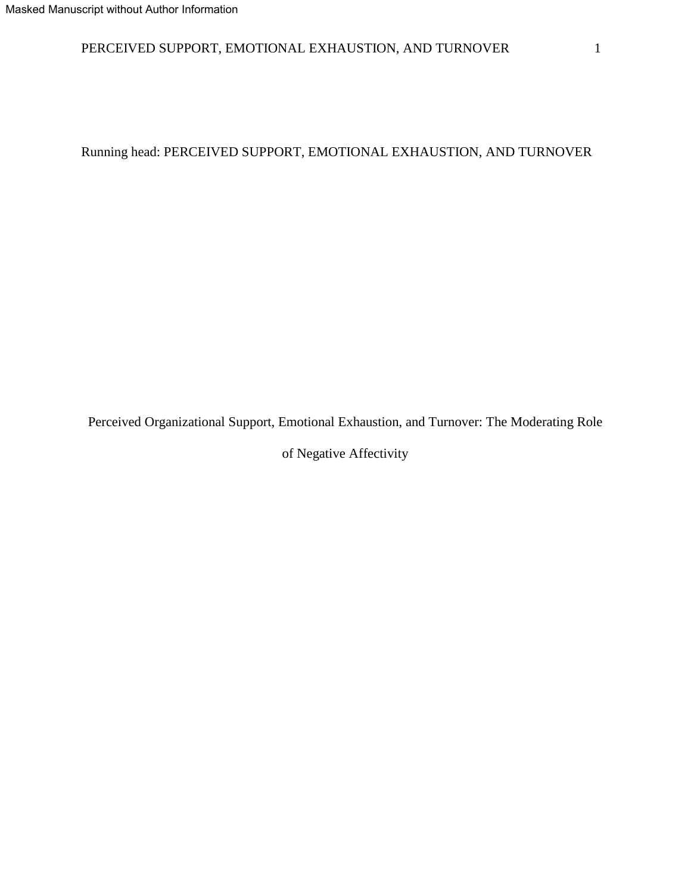# PERCEIVED SUPPORT, EMOTIONAL EXHAUSTION, AND TURNOVER 1

Running head: PERCEIVED SUPPORT, EMOTIONAL EXHAUSTION, AND TURNOVER

Perceived Organizational Support, Emotional Exhaustion, and Turnover: The Moderating Role

of Negative Affectivity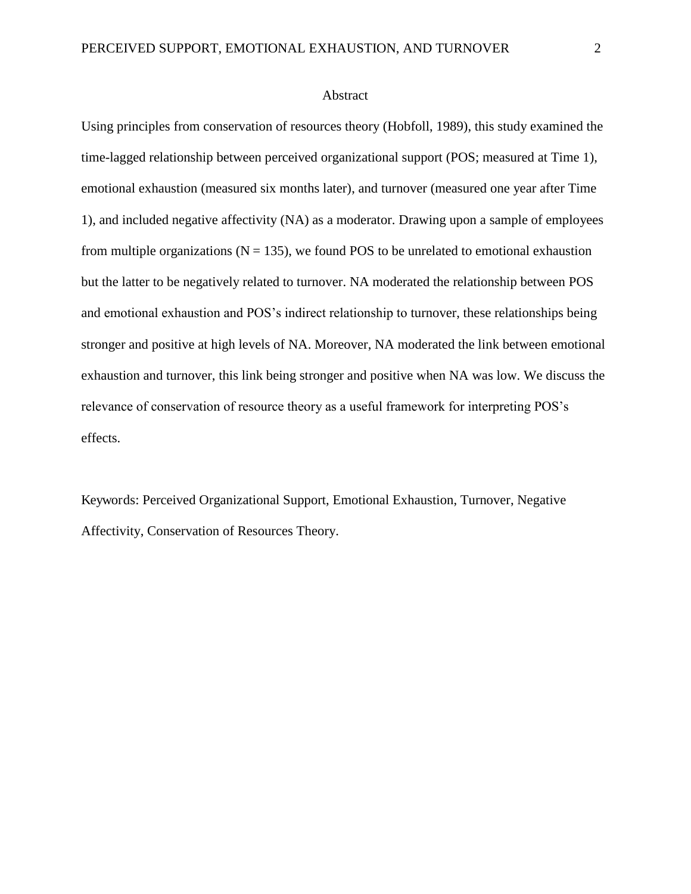#### Abstract

Using principles from conservation of resources theory (Hobfoll, 1989), this study examined the time-lagged relationship between perceived organizational support (POS; measured at Time 1), emotional exhaustion (measured six months later), and turnover (measured one year after Time 1), and included negative affectivity (NA) as a moderator. Drawing upon a sample of employees from multiple organizations ( $N = 135$ ), we found POS to be unrelated to emotional exhaustion but the latter to be negatively related to turnover. NA moderated the relationship between POS and emotional exhaustion and POS's indirect relationship to turnover, these relationships being stronger and positive at high levels of NA. Moreover, NA moderated the link between emotional exhaustion and turnover, this link being stronger and positive when NA was low. We discuss the relevance of conservation of resource theory as a useful framework for interpreting POS's effects.

Keywords: Perceived Organizational Support, Emotional Exhaustion, Turnover, Negative Affectivity, Conservation of Resources Theory.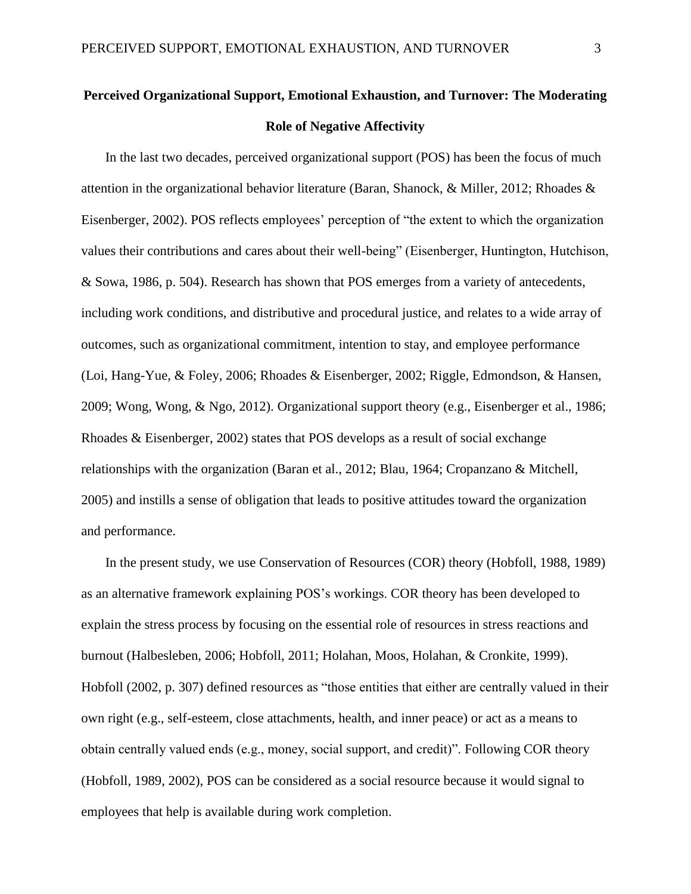# **Perceived Organizational Support, Emotional Exhaustion, and Turnover: The Moderating Role of Negative Affectivity**

In the last two decades, perceived organizational support (POS) has been the focus of much attention in the organizational behavior literature (Baran, Shanock, & Miller, 2012; Rhoades & Eisenberger, 2002). POS reflects employees' perception of "the extent to which the organization values their contributions and cares about their well-being" (Eisenberger, Huntington, Hutchison, & Sowa, 1986, p. 504). Research has shown that POS emerges from a variety of antecedents, including work conditions, and distributive and procedural justice, and relates to a wide array of outcomes, such as organizational commitment, intention to stay, and employee performance (Loi, Hang-Yue, & Foley, 2006; Rhoades & Eisenberger, 2002; Riggle, Edmondson, & Hansen, 2009; Wong, Wong, & Ngo, 2012). Organizational support theory (e.g., Eisenberger et al., 1986; Rhoades & Eisenberger, 2002) states that POS develops as a result of social exchange relationships with the organization (Baran et al., 2012; Blau, 1964; Cropanzano & Mitchell, 2005) and instills a sense of obligation that leads to positive attitudes toward the organization and performance.

In the present study, we use Conservation of Resources (COR) theory (Hobfoll, 1988, 1989) as an alternative framework explaining POS's workings. COR theory has been developed to explain the stress process by focusing on the essential role of resources in stress reactions and burnout (Halbesleben, 2006; Hobfoll, 2011; Holahan, Moos, Holahan, & Cronkite, 1999). Hobfoll (2002, p. 307) defined resources as "those entities that either are centrally valued in their own right (e.g., self-esteem, close attachments, health, and inner peace) or act as a means to obtain centrally valued ends (e.g., money, social support, and credit)". Following COR theory (Hobfoll, 1989, 2002), POS can be considered as a social resource because it would signal to employees that help is available during work completion.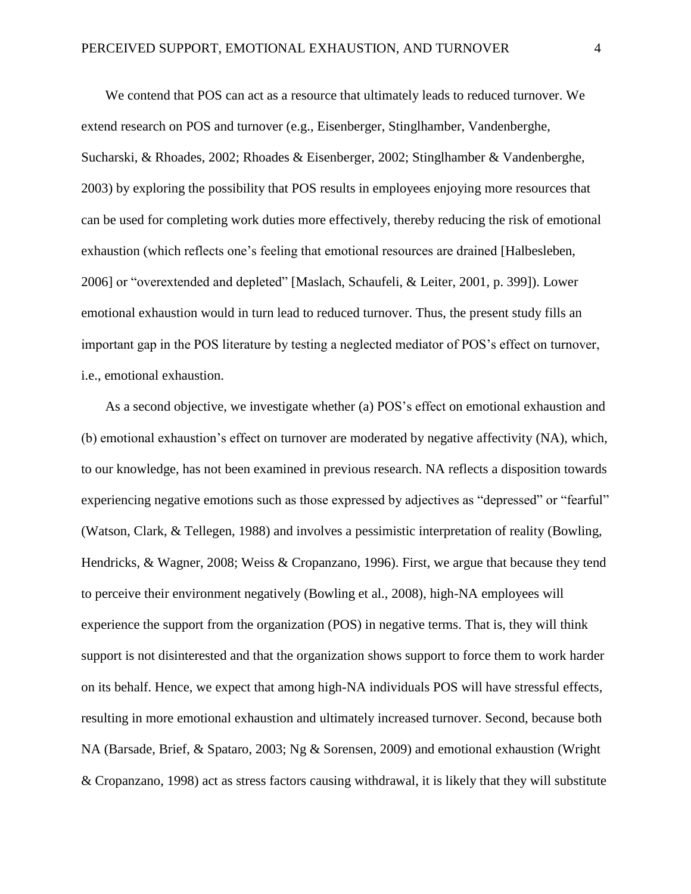We contend that POS can act as a resource that ultimately leads to reduced turnover. We extend research on POS and turnover (e.g., Eisenberger, Stinglhamber, Vandenberghe, Sucharski, & Rhoades, 2002; Rhoades & Eisenberger, 2002; Stinglhamber & Vandenberghe, 2003) by exploring the possibility that POS results in employees enjoying more resources that can be used for completing work duties more effectively, thereby reducing the risk of emotional exhaustion (which reflects one's feeling that emotional resources are drained [Halbesleben, 2006] or "overextended and depleted" [Maslach, Schaufeli, & Leiter, 2001, p. 399]). Lower emotional exhaustion would in turn lead to reduced turnover. Thus, the present study fills an important gap in the POS literature by testing a neglected mediator of POS's effect on turnover, i.e., emotional exhaustion.

As a second objective, we investigate whether (a) POS's effect on emotional exhaustion and (b) emotional exhaustion's effect on turnover are moderated by negative affectivity (NA), which, to our knowledge, has not been examined in previous research. NA reflects a disposition towards experiencing negative emotions such as those expressed by adjectives as "depressed" or "fearful" (Watson, Clark, & Tellegen, 1988) and involves a pessimistic interpretation of reality (Bowling, Hendricks, & Wagner, 2008; Weiss & Cropanzano, 1996). First, we argue that because they tend to perceive their environment negatively (Bowling et al., 2008), high-NA employees will experience the support from the organization (POS) in negative terms. That is, they will think support is not disinterested and that the organization shows support to force them to work harder on its behalf. Hence, we expect that among high-NA individuals POS will have stressful effects, resulting in more emotional exhaustion and ultimately increased turnover. Second, because both NA (Barsade, Brief, & Spataro, 2003; Ng & Sorensen, 2009) and emotional exhaustion (Wright & Cropanzano, 1998) act as stress factors causing withdrawal, it is likely that they will substitute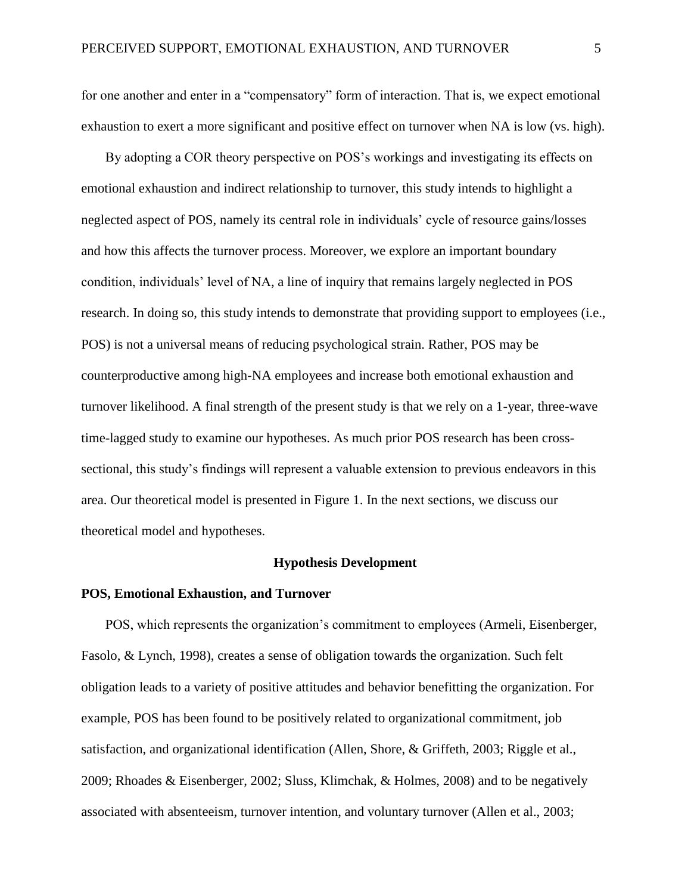for one another and enter in a "compensatory" form of interaction. That is, we expect emotional exhaustion to exert a more significant and positive effect on turnover when NA is low (vs. high).

By adopting a COR theory perspective on POS's workings and investigating its effects on emotional exhaustion and indirect relationship to turnover, this study intends to highlight a neglected aspect of POS, namely its central role in individuals' cycle of resource gains/losses and how this affects the turnover process. Moreover, we explore an important boundary condition, individuals' level of NA, a line of inquiry that remains largely neglected in POS research. In doing so, this study intends to demonstrate that providing support to employees (i.e., POS) is not a universal means of reducing psychological strain. Rather, POS may be counterproductive among high-NA employees and increase both emotional exhaustion and turnover likelihood. A final strength of the present study is that we rely on a 1-year, three-wave time-lagged study to examine our hypotheses. As much prior POS research has been crosssectional, this study's findings will represent a valuable extension to previous endeavors in this area. Our theoretical model is presented in Figure 1. In the next sections, we discuss our theoretical model and hypotheses.

#### **Hypothesis Development**

#### **POS, Emotional Exhaustion, and Turnover**

POS, which represents the organization's commitment to employees (Armeli, Eisenberger, Fasolo, & Lynch, 1998), creates a sense of obligation towards the organization. Such felt obligation leads to a variety of positive attitudes and behavior benefitting the organization. For example, POS has been found to be positively related to organizational commitment, job satisfaction, and organizational identification (Allen, Shore, & Griffeth, 2003; Riggle et al., 2009; Rhoades & Eisenberger, 2002; Sluss, Klimchak, & Holmes, 2008) and to be negatively associated with absenteeism, turnover intention, and voluntary turnover (Allen et al., 2003;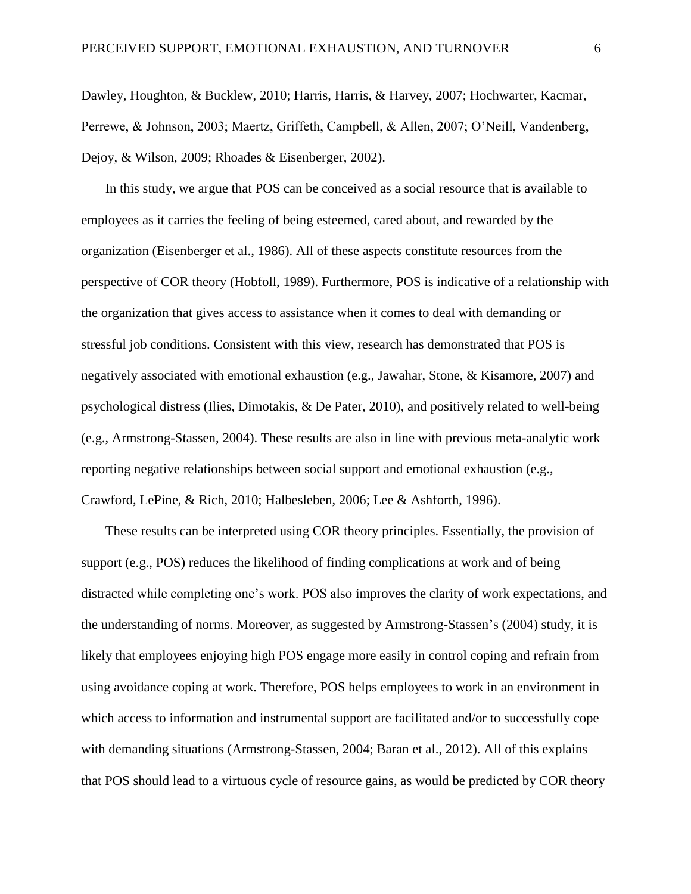Dawley, Houghton, & Bucklew, 2010; Harris, Harris, & Harvey, 2007; Hochwarter, Kacmar, Perrewe, & Johnson, 2003; Maertz, Griffeth, Campbell, & Allen, 2007; O'Neill, Vandenberg, Dejoy, & Wilson, 2009; Rhoades & Eisenberger, 2002).

In this study, we argue that POS can be conceived as a social resource that is available to employees as it carries the feeling of being esteemed, cared about, and rewarded by the organization (Eisenberger et al., 1986). All of these aspects constitute resources from the perspective of COR theory (Hobfoll, 1989). Furthermore, POS is indicative of a relationship with the organization that gives access to assistance when it comes to deal with demanding or stressful job conditions. Consistent with this view, research has demonstrated that POS is negatively associated with emotional exhaustion (e.g., Jawahar, Stone, & Kisamore, 2007) and psychological distress (Ilies, Dimotakis, & De Pater, 2010), and positively related to well-being (e.g., Armstrong-Stassen, 2004). These results are also in line with previous meta-analytic work reporting negative relationships between social support and emotional exhaustion (e.g., Crawford, LePine, & Rich, 2010; Halbesleben, 2006; Lee & Ashforth, 1996).

These results can be interpreted using COR theory principles. Essentially, the provision of support (e.g., POS) reduces the likelihood of finding complications at work and of being distracted while completing one's work. POS also improves the clarity of work expectations, and the understanding of norms. Moreover, as suggested by Armstrong-Stassen's (2004) study, it is likely that employees enjoying high POS engage more easily in control coping and refrain from using avoidance coping at work. Therefore, POS helps employees to work in an environment in which access to information and instrumental support are facilitated and/or to successfully cope with demanding situations (Armstrong-Stassen, 2004; Baran et al., 2012). All of this explains that POS should lead to a virtuous cycle of resource gains, as would be predicted by COR theory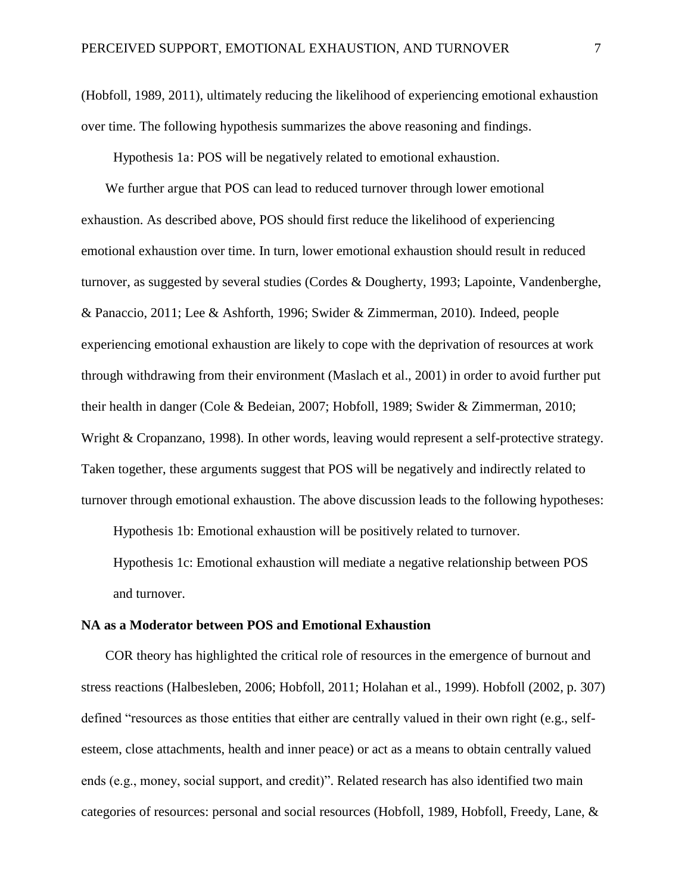(Hobfoll, 1989, 2011), ultimately reducing the likelihood of experiencing emotional exhaustion over time. The following hypothesis summarizes the above reasoning and findings.

Hypothesis 1a: POS will be negatively related to emotional exhaustion.

We further argue that POS can lead to reduced turnover through lower emotional exhaustion. As described above, POS should first reduce the likelihood of experiencing emotional exhaustion over time. In turn, lower emotional exhaustion should result in reduced turnover, as suggested by several studies (Cordes & Dougherty, 1993; Lapointe, Vandenberghe, & Panaccio, 2011; Lee & Ashforth, 1996; Swider & Zimmerman, 2010). Indeed, people experiencing emotional exhaustion are likely to cope with the deprivation of resources at work through withdrawing from their environment (Maslach et al., 2001) in order to avoid further put their health in danger (Cole & Bedeian, 2007; Hobfoll, 1989; Swider & Zimmerman, 2010; Wright & Cropanzano, 1998). In other words, leaving would represent a self-protective strategy. Taken together, these arguments suggest that POS will be negatively and indirectly related to turnover through emotional exhaustion. The above discussion leads to the following hypotheses:

Hypothesis 1b: Emotional exhaustion will be positively related to turnover.

Hypothesis 1c: Emotional exhaustion will mediate a negative relationship between POS and turnover.

#### **NA as a Moderator between POS and Emotional Exhaustion**

COR theory has highlighted the critical role of resources in the emergence of burnout and stress reactions (Halbesleben, 2006; Hobfoll, 2011; Holahan et al., 1999). Hobfoll (2002, p. 307) defined "resources as those entities that either are centrally valued in their own right (e.g., selfesteem, close attachments, health and inner peace) or act as a means to obtain centrally valued ends (e.g., money, social support, and credit)". Related research has also identified two main categories of resources: personal and social resources (Hobfoll, 1989, Hobfoll, Freedy, Lane, &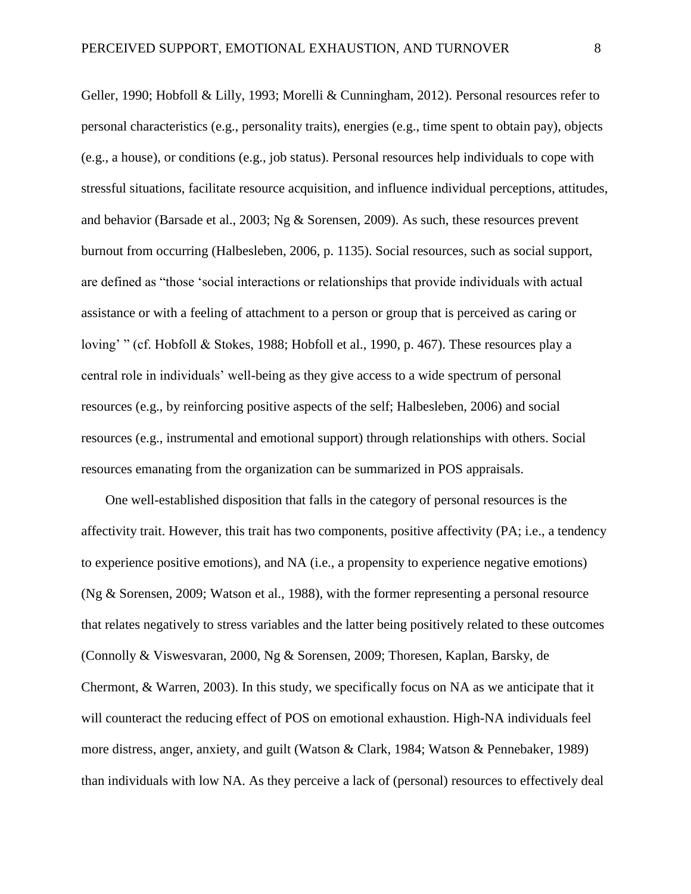Geller, 1990; Hobfoll & Lilly, 1993; Morelli & Cunningham, 2012). Personal resources refer to personal characteristics (e.g., personality traits), energies (e.g., time spent to obtain pay), objects (e.g., a house), or conditions (e.g., job status). Personal resources help individuals to cope with stressful situations, facilitate resource acquisition, and influence individual perceptions, attitudes, and behavior (Barsade et al., 2003; Ng & Sorensen, 2009). As such, these resources prevent burnout from occurring (Halbesleben, 2006, p. 1135). Social resources, such as social support, are defined as "those 'social interactions or relationships that provide individuals with actual assistance or with a feeling of attachment to a person or group that is perceived as caring or loving' " (cf. Hobfoll & Stokes, 1988; Hobfoll et al., 1990, p. 467). These resources play a central role in individuals' well-being as they give access to a wide spectrum of personal resources (e.g., by reinforcing positive aspects of the self; Halbesleben, 2006) and social resources (e.g., instrumental and emotional support) through relationships with others. Social resources emanating from the organization can be summarized in POS appraisals.

One well-established disposition that falls in the category of personal resources is the affectivity trait. However, this trait has two components, positive affectivity (PA; i.e., a tendency to experience positive emotions), and NA (i.e., a propensity to experience negative emotions) (Ng & Sorensen, 2009; Watson et al., 1988), with the former representing a personal resource that relates negatively to stress variables and the latter being positively related to these outcomes (Connolly & Viswesvaran, 2000, Ng & Sorensen, 2009; Thoresen, Kaplan, Barsky, de Chermont, & Warren, 2003). In this study, we specifically focus on NA as we anticipate that it will counteract the reducing effect of POS on emotional exhaustion. High-NA individuals feel more distress, anger, anxiety, and guilt (Watson & Clark, 1984; Watson & Pennebaker, 1989) than individuals with low NA. As they perceive a lack of (personal) resources to effectively deal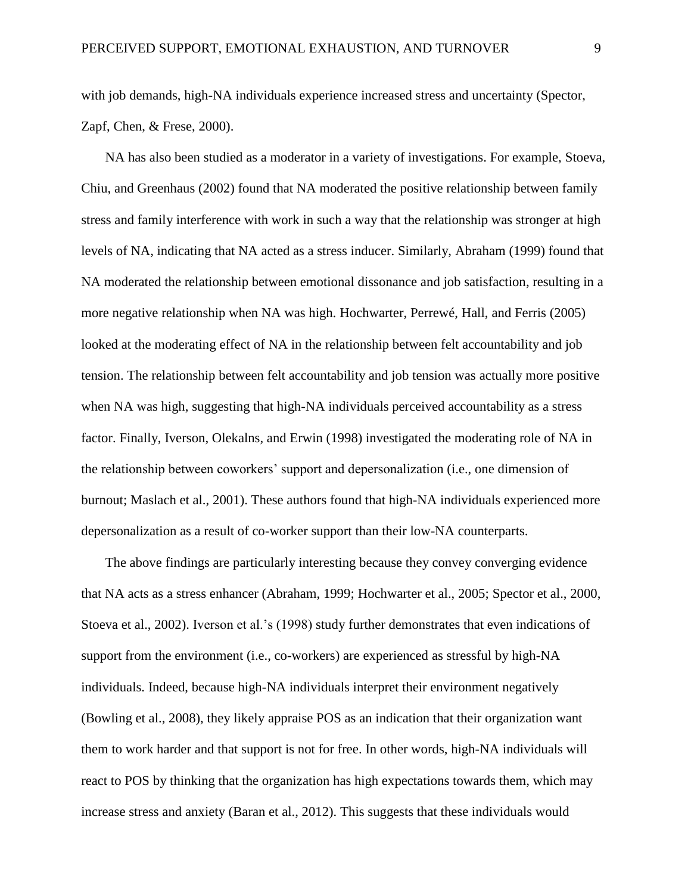with job demands, high-NA individuals experience increased stress and uncertainty (Spector, Zapf, Chen, & Frese, 2000).

NA has also been studied as a moderator in a variety of investigations. For example, Stoeva, Chiu, and Greenhaus (2002) found that NA moderated the positive relationship between family stress and family interference with work in such a way that the relationship was stronger at high levels of NA, indicating that NA acted as a stress inducer. Similarly, Abraham (1999) found that NA moderated the relationship between emotional dissonance and job satisfaction, resulting in a more negative relationship when NA was high. Hochwarter, Perrewé, Hall, and Ferris (2005) looked at the moderating effect of NA in the relationship between felt accountability and job tension. The relationship between felt accountability and job tension was actually more positive when NA was high, suggesting that high-NA individuals perceived accountability as a stress factor. Finally, Iverson, Olekalns, and Erwin (1998) investigated the moderating role of NA in the relationship between coworkers' support and depersonalization (i.e., one dimension of burnout; Maslach et al., 2001). These authors found that high-NA individuals experienced more depersonalization as a result of co-worker support than their low-NA counterparts.

The above findings are particularly interesting because they convey converging evidence that NA acts as a stress enhancer (Abraham, 1999; Hochwarter et al., 2005; Spector et al., 2000, Stoeva et al., 2002). Iverson et al.'s (1998) study further demonstrates that even indications of support from the environment (i.e., co-workers) are experienced as stressful by high-NA individuals. Indeed, because high-NA individuals interpret their environment negatively (Bowling et al., 2008), they likely appraise POS as an indication that their organization want them to work harder and that support is not for free. In other words, high-NA individuals will react to POS by thinking that the organization has high expectations towards them, which may increase stress and anxiety (Baran et al., 2012). This suggests that these individuals would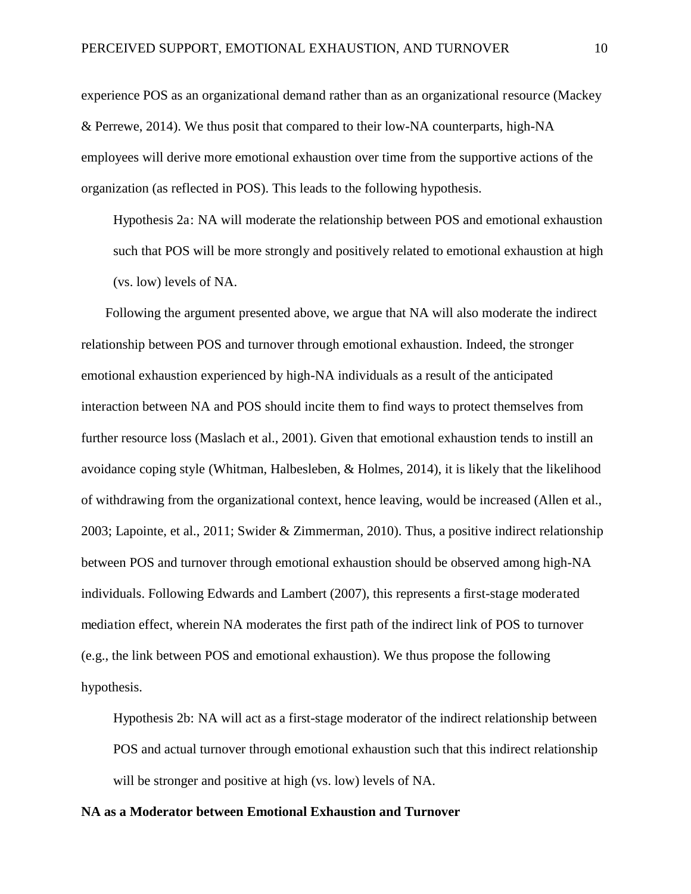experience POS as an organizational demand rather than as an organizational resource (Mackey & Perrewe, 2014). We thus posit that compared to their low-NA counterparts, high-NA employees will derive more emotional exhaustion over time from the supportive actions of the organization (as reflected in POS). This leads to the following hypothesis.

Hypothesis 2a: NA will moderate the relationship between POS and emotional exhaustion such that POS will be more strongly and positively related to emotional exhaustion at high (vs. low) levels of NA.

Following the argument presented above, we argue that NA will also moderate the indirect relationship between POS and turnover through emotional exhaustion. Indeed, the stronger emotional exhaustion experienced by high-NA individuals as a result of the anticipated interaction between NA and POS should incite them to find ways to protect themselves from further resource loss (Maslach et al., 2001). Given that emotional exhaustion tends to instill an avoidance coping style (Whitman, Halbesleben, & Holmes, 2014), it is likely that the likelihood of withdrawing from the organizational context, hence leaving, would be increased (Allen et al., 2003; Lapointe, et al., 2011; Swider & Zimmerman, 2010). Thus, a positive indirect relationship between POS and turnover through emotional exhaustion should be observed among high-NA individuals. Following Edwards and Lambert (2007), this represents a first-stage moderated mediation effect, wherein NA moderates the first path of the indirect link of POS to turnover (e.g., the link between POS and emotional exhaustion). We thus propose the following hypothesis.

Hypothesis 2b: NA will act as a first-stage moderator of the indirect relationship between POS and actual turnover through emotional exhaustion such that this indirect relationship will be stronger and positive at high (vs. low) levels of NA.

#### **NA as a Moderator between Emotional Exhaustion and Turnover**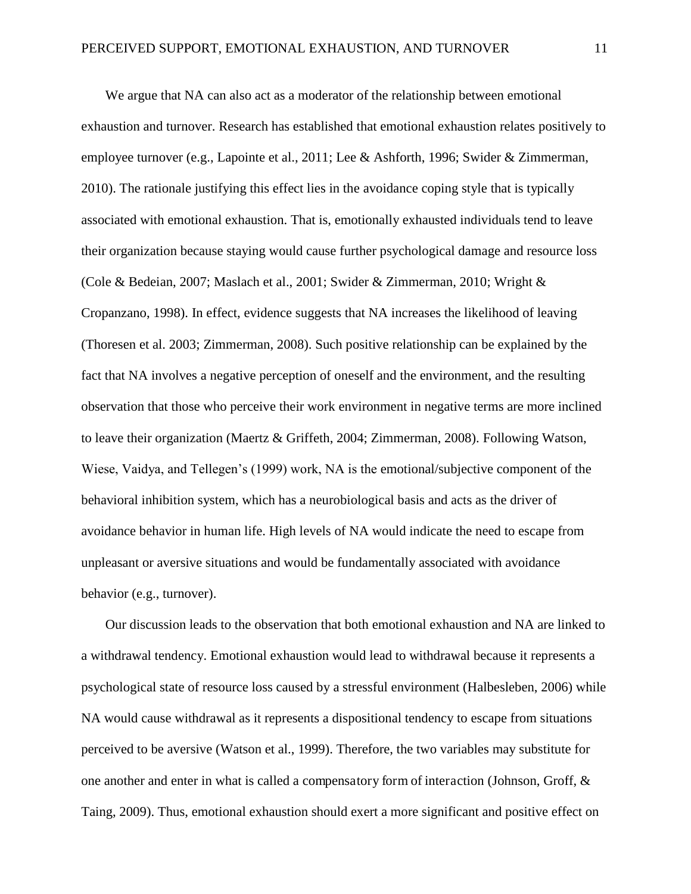We argue that NA can also act as a moderator of the relationship between emotional exhaustion and turnover. Research has established that emotional exhaustion relates positively to employee turnover (e.g., Lapointe et al., 2011; Lee & Ashforth, 1996; Swider & Zimmerman, 2010). The rationale justifying this effect lies in the avoidance coping style that is typically associated with emotional exhaustion. That is, emotionally exhausted individuals tend to leave their organization because staying would cause further psychological damage and resource loss (Cole & Bedeian, 2007; Maslach et al., 2001; Swider & Zimmerman, 2010; Wright & Cropanzano, 1998). In effect, evidence suggests that NA increases the likelihood of leaving (Thoresen et al. 2003; Zimmerman, 2008). Such positive relationship can be explained by the fact that NA involves a negative perception of oneself and the environment, and the resulting observation that those who perceive their work environment in negative terms are more inclined to leave their organization (Maertz & Griffeth, 2004; Zimmerman, 2008). Following Watson, Wiese, Vaidya, and Tellegen's (1999) work, NA is the emotional/subjective component of the behavioral inhibition system, which has a neurobiological basis and acts as the driver of avoidance behavior in human life. High levels of NA would indicate the need to escape from unpleasant or aversive situations and would be fundamentally associated with avoidance behavior (e.g., turnover).

Our discussion leads to the observation that both emotional exhaustion and NA are linked to a withdrawal tendency. Emotional exhaustion would lead to withdrawal because it represents a psychological state of resource loss caused by a stressful environment (Halbesleben, 2006) while NA would cause withdrawal as it represents a dispositional tendency to escape from situations perceived to be aversive (Watson et al., 1999). Therefore, the two variables may substitute for one another and enter in what is called a compensatory form of interaction (Johnson, Groff, & Taing, 2009). Thus, emotional exhaustion should exert a more significant and positive effect on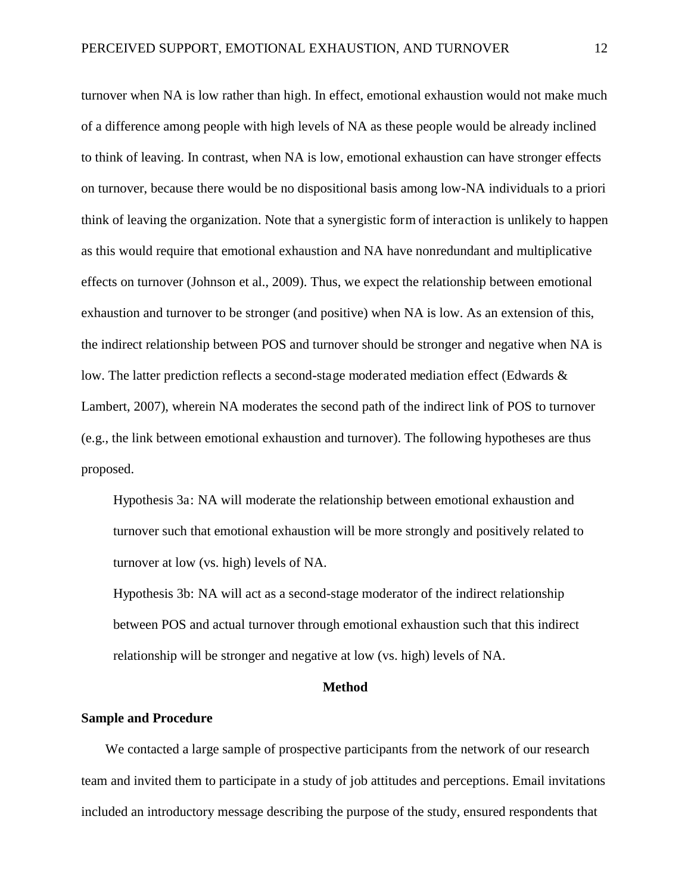turnover when NA is low rather than high. In effect, emotional exhaustion would not make much of a difference among people with high levels of NA as these people would be already inclined to think of leaving. In contrast, when NA is low, emotional exhaustion can have stronger effects on turnover, because there would be no dispositional basis among low-NA individuals to a priori think of leaving the organization. Note that a synergistic form of interaction is unlikely to happen as this would require that emotional exhaustion and NA have nonredundant and multiplicative effects on turnover (Johnson et al., 2009). Thus, we expect the relationship between emotional exhaustion and turnover to be stronger (and positive) when NA is low. As an extension of this, the indirect relationship between POS and turnover should be stronger and negative when NA is low. The latter prediction reflects a second-stage moderated mediation effect (Edwards & Lambert, 2007), wherein NA moderates the second path of the indirect link of POS to turnover (e.g., the link between emotional exhaustion and turnover). The following hypotheses are thus proposed.

Hypothesis 3a: NA will moderate the relationship between emotional exhaustion and turnover such that emotional exhaustion will be more strongly and positively related to turnover at low (vs. high) levels of NA.

Hypothesis 3b: NA will act as a second-stage moderator of the indirect relationship between POS and actual turnover through emotional exhaustion such that this indirect relationship will be stronger and negative at low (vs. high) levels of NA.

#### **Method**

#### **Sample and Procedure**

We contacted a large sample of prospective participants from the network of our research team and invited them to participate in a study of job attitudes and perceptions. Email invitations included an introductory message describing the purpose of the study, ensured respondents that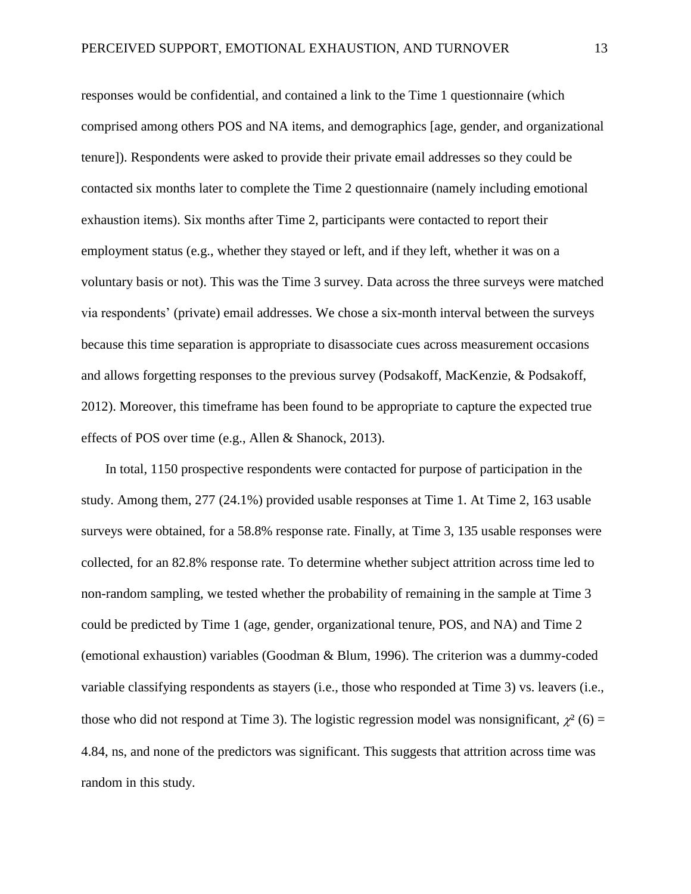responses would be confidential, and contained a link to the Time 1 questionnaire (which comprised among others POS and NA items, and demographics [age, gender, and organizational tenure]). Respondents were asked to provide their private email addresses so they could be contacted six months later to complete the Time 2 questionnaire (namely including emotional exhaustion items). Six months after Time 2, participants were contacted to report their employment status (e.g., whether they stayed or left, and if they left, whether it was on a voluntary basis or not). This was the Time 3 survey. Data across the three surveys were matched via respondents' (private) email addresses. We chose a six-month interval between the surveys because this time separation is appropriate to disassociate cues across measurement occasions and allows forgetting responses to the previous survey (Podsakoff, MacKenzie, & Podsakoff, 2012). Moreover, this timeframe has been found to be appropriate to capture the expected true effects of POS over time (e.g., Allen & Shanock, 2013).

In total, 1150 prospective respondents were contacted for purpose of participation in the study. Among them, 277 (24.1%) provided usable responses at Time 1. At Time 2, 163 usable surveys were obtained, for a 58.8% response rate. Finally, at Time 3, 135 usable responses were collected, for an 82.8% response rate. To determine whether subject attrition across time led to non-random sampling, we tested whether the probability of remaining in the sample at Time 3 could be predicted by Time 1 (age, gender, organizational tenure, POS, and NA) and Time 2 (emotional exhaustion) variables (Goodman & Blum, 1996). The criterion was a dummy-coded variable classifying respondents as stayers (i.e., those who responded at Time 3) vs. leavers (i.e., those who did not respond at Time 3). The logistic regression model was nonsignificant,  $\chi^2$  (6) = 4.84, ns, and none of the predictors was significant. This suggests that attrition across time was random in this study.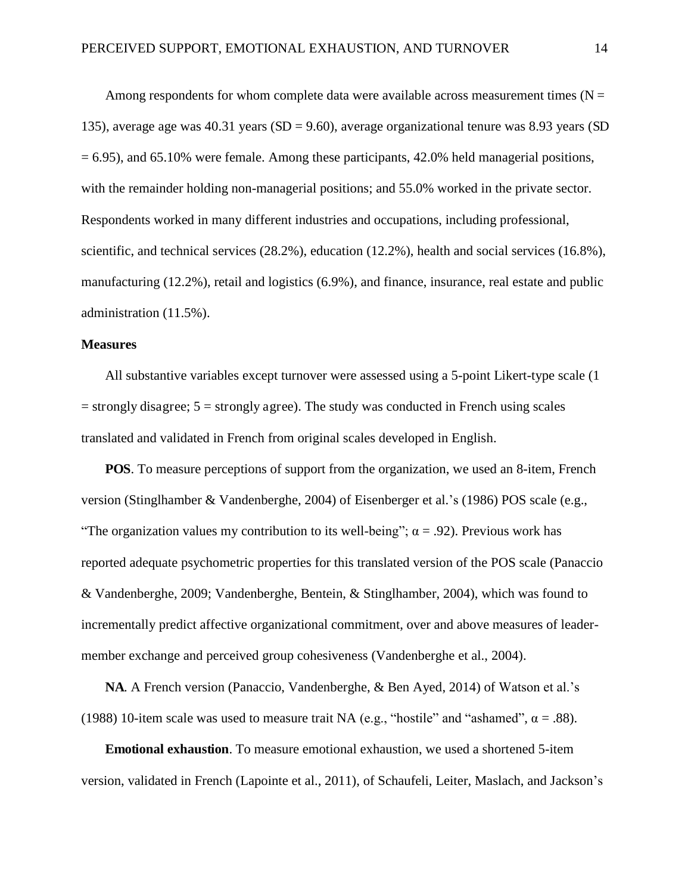Among respondents for whom complete data were available across measurement times ( $N =$ 135), average age was  $40.31$  years (SD = 9.60), average organizational tenure was 8.93 years (SD  $= 6.95$ ), and 65.10% were female. Among these participants, 42.0% held managerial positions, with the remainder holding non-managerial positions; and 55.0% worked in the private sector. Respondents worked in many different industries and occupations, including professional, scientific, and technical services (28.2%), education (12.2%), health and social services (16.8%), manufacturing (12.2%), retail and logistics (6.9%), and finance, insurance, real estate and public administration (11.5%).

#### **Measures**

All substantive variables except turnover were assessed using a 5-point Likert-type scale (1  $=$  strongly disagree;  $5 =$  strongly agree). The study was conducted in French using scales translated and validated in French from original scales developed in English.

**POS**. To measure perceptions of support from the organization, we used an 8-item, French version (Stinglhamber & Vandenberghe, 2004) of Eisenberger et al.'s (1986) POS scale (e.g., "The organization values my contribution to its well-being";  $\alpha$  = .92). Previous work has reported adequate psychometric properties for this translated version of the POS scale (Panaccio & Vandenberghe, 2009; Vandenberghe, Bentein, & Stinglhamber, 2004), which was found to incrementally predict affective organizational commitment, over and above measures of leadermember exchange and perceived group cohesiveness (Vandenberghe et al., 2004).

**NA**. A French version (Panaccio, Vandenberghe, & Ben Ayed, 2014) of Watson et al.'s (1988) 10-item scale was used to measure trait NA (e.g., "hostile" and "ashamed",  $\alpha = .88$ ).

**Emotional exhaustion**. To measure emotional exhaustion, we used a shortened 5-item version, validated in French (Lapointe et al., 2011), of Schaufeli, Leiter, Maslach, and Jackson's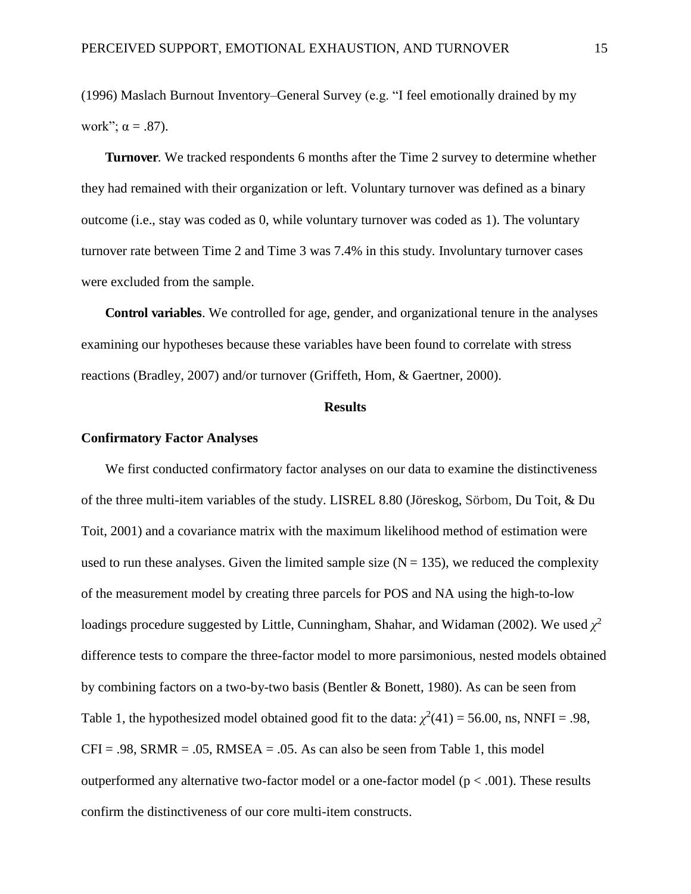(1996) Maslach Burnout Inventory–General Survey (e.g. "I feel emotionally drained by my work";  $\alpha = .87$ ).

**Turnover**. We tracked respondents 6 months after the Time 2 survey to determine whether they had remained with their organization or left. Voluntary turnover was defined as a binary outcome (i.e., stay was coded as 0, while voluntary turnover was coded as 1). The voluntary turnover rate between Time 2 and Time 3 was 7.4% in this study. Involuntary turnover cases were excluded from the sample.

**Control variables**. We controlled for age, gender, and organizational tenure in the analyses examining our hypotheses because these variables have been found to correlate with stress reactions (Bradley, 2007) and/or turnover (Griffeth, Hom, & Gaertner, 2000).

#### **Results**

#### **Confirmatory Factor Analyses**

We first conducted confirmatory factor analyses on our data to examine the distinctiveness of the three multi-item variables of the study. LISREL 8.80 (Jöreskog, Sörbom, Du Toit, & Du Toit, 2001) and a covariance matrix with the maximum likelihood method of estimation were used to run these analyses. Given the limited sample size  $(N = 135)$ , we reduced the complexity of the measurement model by creating three parcels for POS and NA using the high-to-low loadings procedure suggested by Little, Cunningham, Shahar, and Widaman (2002). We used  $\chi^2$ difference tests to compare the three-factor model to more parsimonious, nested models obtained by combining factors on a two-by-two basis (Bentler & Bonett, 1980). As can be seen from Table 1, the hypothesized model obtained good fit to the data:  $\chi^2(41) = 56.00$ , ns, NNFI = .98,  $CFI = .98$ , SRMR = .05, RMSEA = .05. As can also be seen from Table 1, this model outperformed any alternative two-factor model or a one-factor model ( $p < .001$ ). These results confirm the distinctiveness of our core multi-item constructs.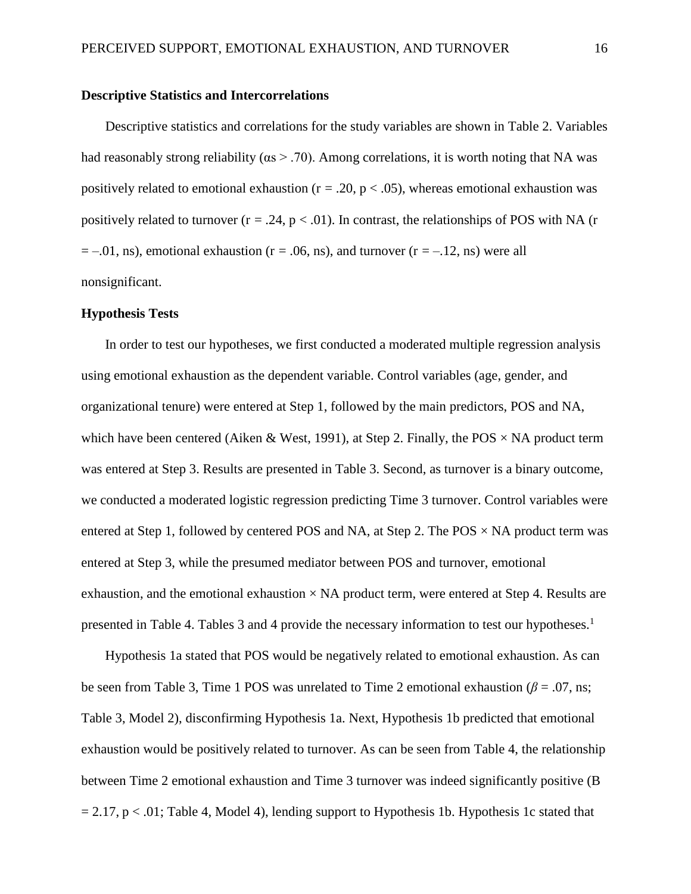#### **Descriptive Statistics and Intercorrelations**

Descriptive statistics and correlations for the study variables are shown in Table 2. Variables had reasonably strong reliability ( $\alpha s > 0.70$ ). Among correlations, it is worth noting that NA was positively related to emotional exhaustion ( $r = .20$ ,  $p < .05$ ), whereas emotional exhaustion was positively related to turnover  $(r = .24, p < .01)$ . In contrast, the relationships of POS with NA (r  $= -0.01$ , ns), emotional exhaustion (r = .06, ns), and turnover (r = -.12, ns) were all nonsignificant.

#### **Hypothesis Tests**

In order to test our hypotheses, we first conducted a moderated multiple regression analysis using emotional exhaustion as the dependent variable. Control variables (age, gender, and organizational tenure) were entered at Step 1, followed by the main predictors, POS and NA, which have been centered (Aiken & West, 1991), at Step 2. Finally, the POS  $\times$  NA product term was entered at Step 3. Results are presented in Table 3. Second, as turnover is a binary outcome, we conducted a moderated logistic regression predicting Time 3 turnover. Control variables were entered at Step 1, followed by centered POS and NA, at Step 2. The POS  $\times$  NA product term was entered at Step 3, while the presumed mediator between POS and turnover, emotional exhaustion, and the emotional exhaustion  $\times$  NA product term, were entered at Step 4. Results are presented in Table 4. Tables 3 and 4 provide the necessary information to test our hypotheses.<sup>1</sup>

Hypothesis 1a stated that POS would be negatively related to emotional exhaustion. As can be seen from Table 3, Time 1 POS was unrelated to Time 2 emotional exhaustion ( $\beta$  = .07, ns; Table 3, Model 2), disconfirming Hypothesis 1a. Next, Hypothesis 1b predicted that emotional exhaustion would be positively related to turnover. As can be seen from Table 4, the relationship between Time 2 emotional exhaustion and Time 3 turnover was indeed significantly positive (B  $= 2.17$ , p < .01; Table 4, Model 4), lending support to Hypothesis 1b. Hypothesis 1c stated that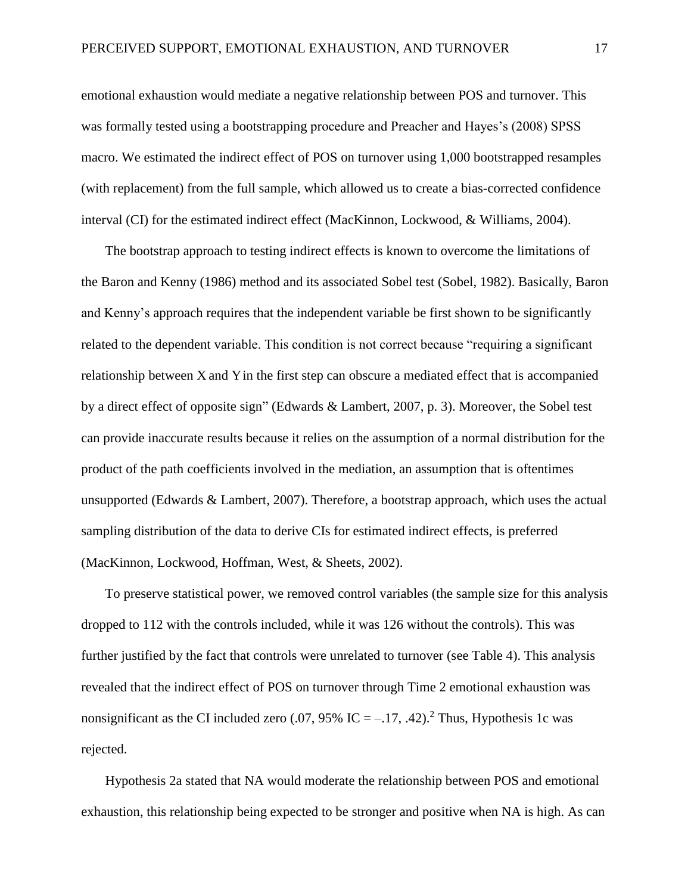emotional exhaustion would mediate a negative relationship between POS and turnover. This was formally tested using a bootstrapping procedure and Preacher and Hayes's (2008) SPSS macro. We estimated the indirect effect of POS on turnover using 1,000 bootstrapped resamples (with replacement) from the full sample, which allowed us to create a bias-corrected confidence interval (CI) for the estimated indirect effect (MacKinnon, Lockwood, & Williams, 2004).

The bootstrap approach to testing indirect effects is known to overcome the limitations of the Baron and Kenny (1986) method and its associated Sobel test (Sobel, 1982). Basically, Baron and Kenny's approach requires that the independent variable be first shown to be significantly related to the dependent variable. This condition is not correct because "requiring a significant relationship between X and Y in the first step can obscure a mediated effect that is accompanied by a direct effect of opposite sign" (Edwards & Lambert, 2007, p. 3). Moreover, the Sobel test can provide inaccurate results because it relies on the assumption of a normal distribution for the product of the path coefficients involved in the mediation, an assumption that is oftentimes unsupported (Edwards & Lambert, 2007). Therefore, a bootstrap approach, which uses the actual sampling distribution of the data to derive CIs for estimated indirect effects, is preferred (MacKinnon, Lockwood, Hoffman, West, & Sheets, 2002).

To preserve statistical power, we removed control variables (the sample size for this analysis dropped to 112 with the controls included, while it was 126 without the controls). This was further justified by the fact that controls were unrelated to turnover (see Table 4). This analysis revealed that the indirect effect of POS on turnover through Time 2 emotional exhaustion was nonsignificant as the CI included zero (.07, 95% IC =  $-.17, .42$ ).<sup>2</sup> Thus, Hypothesis 1c was rejected.

Hypothesis 2a stated that NA would moderate the relationship between POS and emotional exhaustion, this relationship being expected to be stronger and positive when NA is high. As can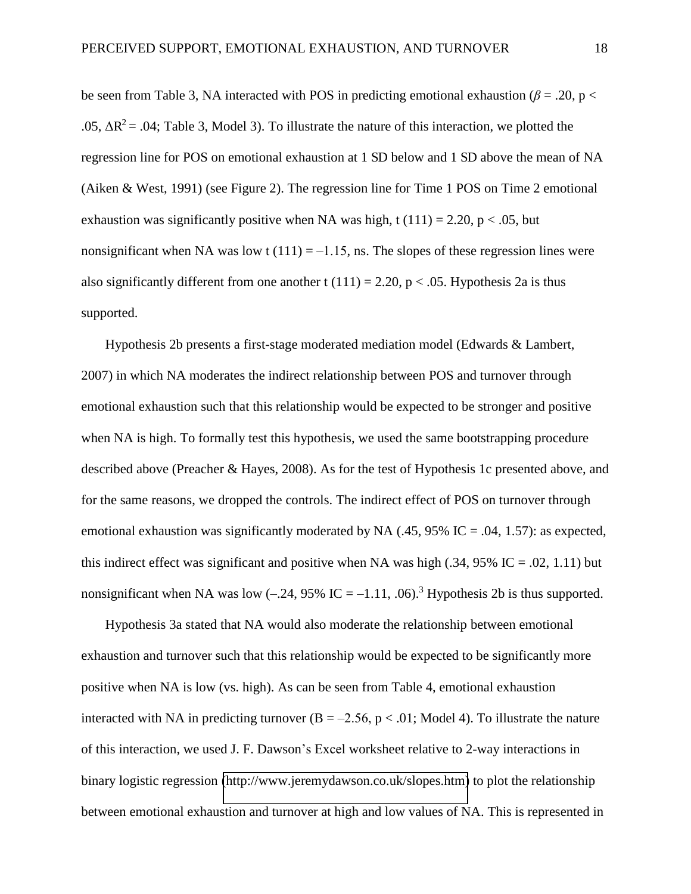be seen from Table 3, NA interacted with POS in predicting emotional exhaustion ( $\beta$  = .20, p < .05,  $\Delta R^2$  = .04; Table 3, Model 3). To illustrate the nature of this interaction, we plotted the regression line for POS on emotional exhaustion at 1 SD below and 1 SD above the mean of NA (Aiken & West, 1991) (see Figure 2). The regression line for Time 1 POS on Time 2 emotional exhaustion was significantly positive when NA was high, t  $(111) = 2.20$ , p < .05, but nonsignificant when NA was low t  $(111) = -1.15$ , ns. The slopes of these regression lines were also significantly different from one another t  $(111) = 2.20$ ,  $p < .05$ . Hypothesis 2a is thus supported.

Hypothesis 2b presents a first-stage moderated mediation model (Edwards & Lambert, 2007) in which NA moderates the indirect relationship between POS and turnover through emotional exhaustion such that this relationship would be expected to be stronger and positive when NA is high. To formally test this hypothesis, we used the same bootstrapping procedure described above (Preacher & Hayes, 2008). As for the test of Hypothesis 1c presented above, and for the same reasons, we dropped the controls. The indirect effect of POS on turnover through emotional exhaustion was significantly moderated by NA  $(.45, 95\%$  IC = .04, 1.57): as expected, this indirect effect was significant and positive when NA was high  $(.34, 95\% \text{ IC} = .02, 1.11)$  but nonsignificant when NA was low  $(-.24, 95\% \text{ IC} = -1.11, .06)$ .<sup>3</sup> Hypothesis 2b is thus supported.

Hypothesis 3a stated that NA would also moderate the relationship between emotional exhaustion and turnover such that this relationship would be expected to be significantly more positive when NA is low (vs. high). As can be seen from Table 4, emotional exhaustion interacted with NA in predicting turnover  $(B = -2.56, p < .01;$  Model 4). To illustrate the nature of this interaction, we used J. F. Dawson's Excel worksheet relative to 2-way interactions in binary logistic regression [\(http://www.jeremydawson.co.uk/slopes.htm\)](http://www.jeremydawson.co.uk/slopes.htm) to plot the relationship between emotional exhaustion and turnover at high and low values of NA. This is represented in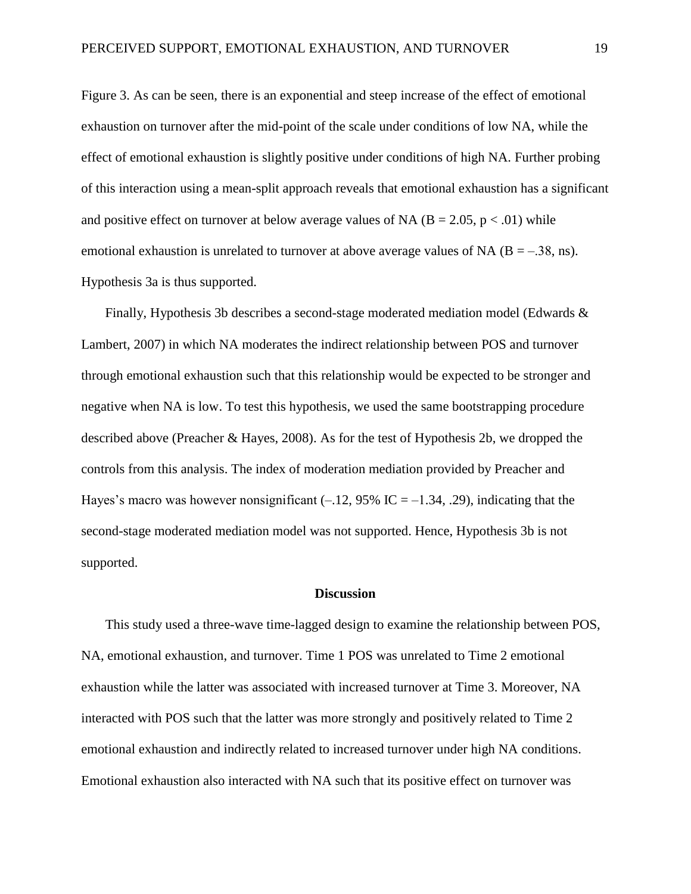Figure 3. As can be seen, there is an exponential and steep increase of the effect of emotional exhaustion on turnover after the mid-point of the scale under conditions of low NA, while the effect of emotional exhaustion is slightly positive under conditions of high NA. Further probing of this interaction using a mean-split approach reveals that emotional exhaustion has a significant and positive effect on turnover at below average values of NA ( $B = 2.05$ ,  $p < .01$ ) while emotional exhaustion is unrelated to turnover at above average values of NA  $(B = -.38, ns)$ . Hypothesis 3a is thus supported.

Finally, Hypothesis 3b describes a second-stage moderated mediation model (Edwards & Lambert, 2007) in which NA moderates the indirect relationship between POS and turnover through emotional exhaustion such that this relationship would be expected to be stronger and negative when NA is low. To test this hypothesis, we used the same bootstrapping procedure described above (Preacher & Hayes, 2008). As for the test of Hypothesis 2b, we dropped the controls from this analysis. The index of moderation mediation provided by Preacher and Hayes's macro was however nonsignificant  $(-.12, 95\% \text{ IC} = -1.34, .29)$ , indicating that the second-stage moderated mediation model was not supported. Hence, Hypothesis 3b is not supported.

#### **Discussion**

This study used a three-wave time-lagged design to examine the relationship between POS, NA, emotional exhaustion, and turnover. Time 1 POS was unrelated to Time 2 emotional exhaustion while the latter was associated with increased turnover at Time 3. Moreover, NA interacted with POS such that the latter was more strongly and positively related to Time 2 emotional exhaustion and indirectly related to increased turnover under high NA conditions. Emotional exhaustion also interacted with NA such that its positive effect on turnover was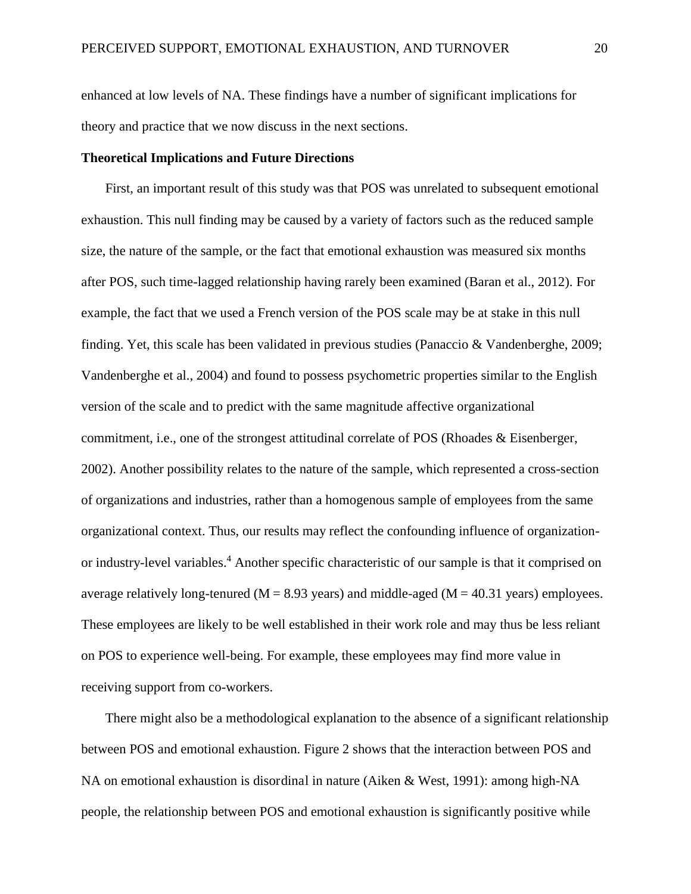enhanced at low levels of NA. These findings have a number of significant implications for theory and practice that we now discuss in the next sections.

#### **Theoretical Implications and Future Directions**

First, an important result of this study was that POS was unrelated to subsequent emotional exhaustion. This null finding may be caused by a variety of factors such as the reduced sample size, the nature of the sample, or the fact that emotional exhaustion was measured six months after POS, such time-lagged relationship having rarely been examined (Baran et al., 2012). For example, the fact that we used a French version of the POS scale may be at stake in this null finding. Yet, this scale has been validated in previous studies (Panaccio & Vandenberghe, 2009; Vandenberghe et al., 2004) and found to possess psychometric properties similar to the English version of the scale and to predict with the same magnitude affective organizational commitment, i.e., one of the strongest attitudinal correlate of POS (Rhoades & Eisenberger, 2002). Another possibility relates to the nature of the sample, which represented a cross-section of organizations and industries, rather than a homogenous sample of employees from the same organizational context. Thus, our results may reflect the confounding influence of organizationor industry-level variables.<sup>4</sup> Another specific characteristic of our sample is that it comprised on average relatively long-tenured ( $M = 8.93$  years) and middle-aged ( $M = 40.31$  years) employees. These employees are likely to be well established in their work role and may thus be less reliant on POS to experience well-being. For example, these employees may find more value in receiving support from co-workers.

There might also be a methodological explanation to the absence of a significant relationship between POS and emotional exhaustion. Figure 2 shows that the interaction between POS and NA on emotional exhaustion is disordinal in nature (Aiken & West, 1991): among high-NA people, the relationship between POS and emotional exhaustion is significantly positive while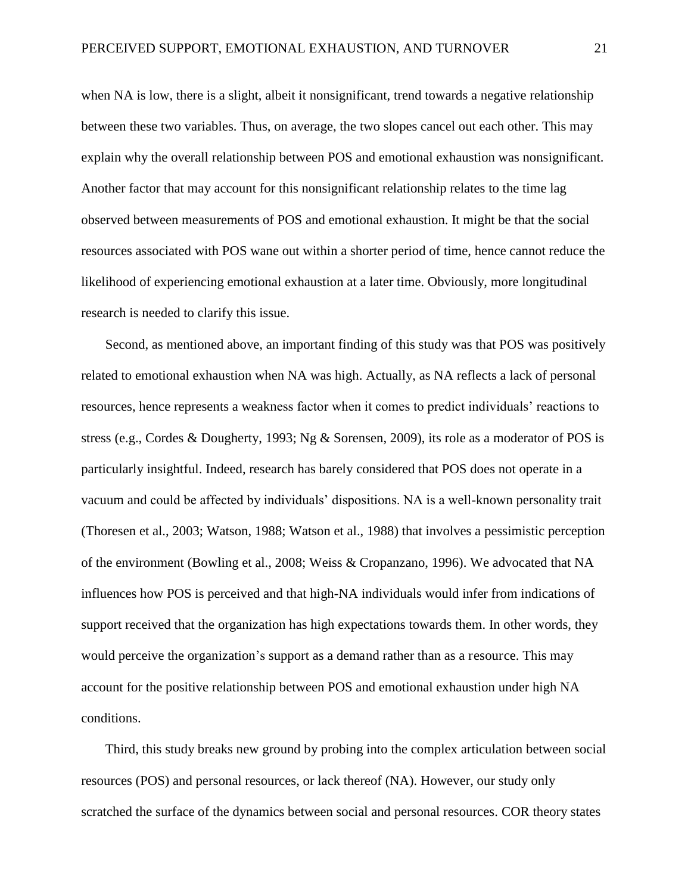when NA is low, there is a slight, albeit it nonsignificant, trend towards a negative relationship between these two variables. Thus, on average, the two slopes cancel out each other. This may explain why the overall relationship between POS and emotional exhaustion was nonsignificant. Another factor that may account for this nonsignificant relationship relates to the time lag observed between measurements of POS and emotional exhaustion. It might be that the social resources associated with POS wane out within a shorter period of time, hence cannot reduce the likelihood of experiencing emotional exhaustion at a later time. Obviously, more longitudinal research is needed to clarify this issue.

Second, as mentioned above, an important finding of this study was that POS was positively related to emotional exhaustion when NA was high. Actually, as NA reflects a lack of personal resources, hence represents a weakness factor when it comes to predict individuals' reactions to stress (e.g., Cordes & Dougherty, 1993; Ng & Sorensen, 2009), its role as a moderator of POS is particularly insightful. Indeed, research has barely considered that POS does not operate in a vacuum and could be affected by individuals' dispositions. NA is a well-known personality trait (Thoresen et al., 2003; Watson, 1988; Watson et al., 1988) that involves a pessimistic perception of the environment (Bowling et al., 2008; Weiss & Cropanzano, 1996). We advocated that NA influences how POS is perceived and that high-NA individuals would infer from indications of support received that the organization has high expectations towards them. In other words, they would perceive the organization's support as a demand rather than as a resource. This may account for the positive relationship between POS and emotional exhaustion under high NA conditions.

Third, this study breaks new ground by probing into the complex articulation between social resources (POS) and personal resources, or lack thereof (NA). However, our study only scratched the surface of the dynamics between social and personal resources. COR theory states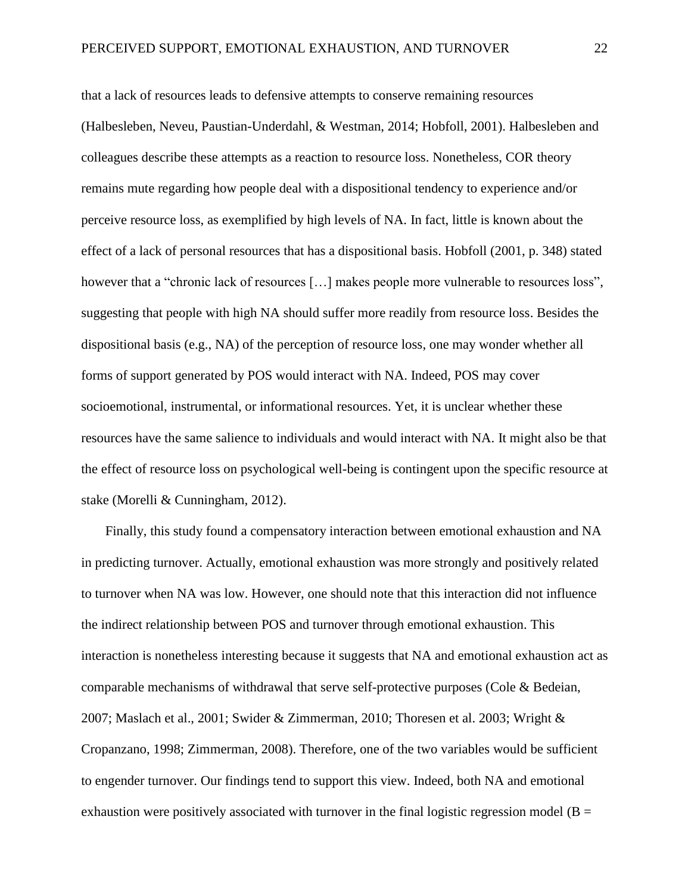that a lack of resources leads to defensive attempts to conserve remaining resources (Halbesleben, Neveu, Paustian-Underdahl, & Westman, 2014; Hobfoll, 2001). Halbesleben and colleagues describe these attempts as a reaction to resource loss. Nonetheless, COR theory remains mute regarding how people deal with a dispositional tendency to experience and/or perceive resource loss, as exemplified by high levels of NA. In fact, little is known about the effect of a lack of personal resources that has a dispositional basis. Hobfoll (2001, p. 348) stated however that a "chronic lack of resources [...] makes people more vulnerable to resources loss", suggesting that people with high NA should suffer more readily from resource loss. Besides the dispositional basis (e.g., NA) of the perception of resource loss, one may wonder whether all forms of support generated by POS would interact with NA. Indeed, POS may cover socioemotional, instrumental, or informational resources. Yet, it is unclear whether these resources have the same salience to individuals and would interact with NA. It might also be that the effect of resource loss on psychological well-being is contingent upon the specific resource at stake (Morelli & Cunningham, 2012).

Finally, this study found a compensatory interaction between emotional exhaustion and NA in predicting turnover. Actually, emotional exhaustion was more strongly and positively related to turnover when NA was low. However, one should note that this interaction did not influence the indirect relationship between POS and turnover through emotional exhaustion. This interaction is nonetheless interesting because it suggests that NA and emotional exhaustion act as comparable mechanisms of withdrawal that serve self-protective purposes (Cole & Bedeian, 2007; Maslach et al., 2001; Swider & Zimmerman, 2010; Thoresen et al. 2003; Wright & Cropanzano, 1998; Zimmerman, 2008). Therefore, one of the two variables would be sufficient to engender turnover. Our findings tend to support this view. Indeed, both NA and emotional exhaustion were positively associated with turnover in the final logistic regression model ( $B =$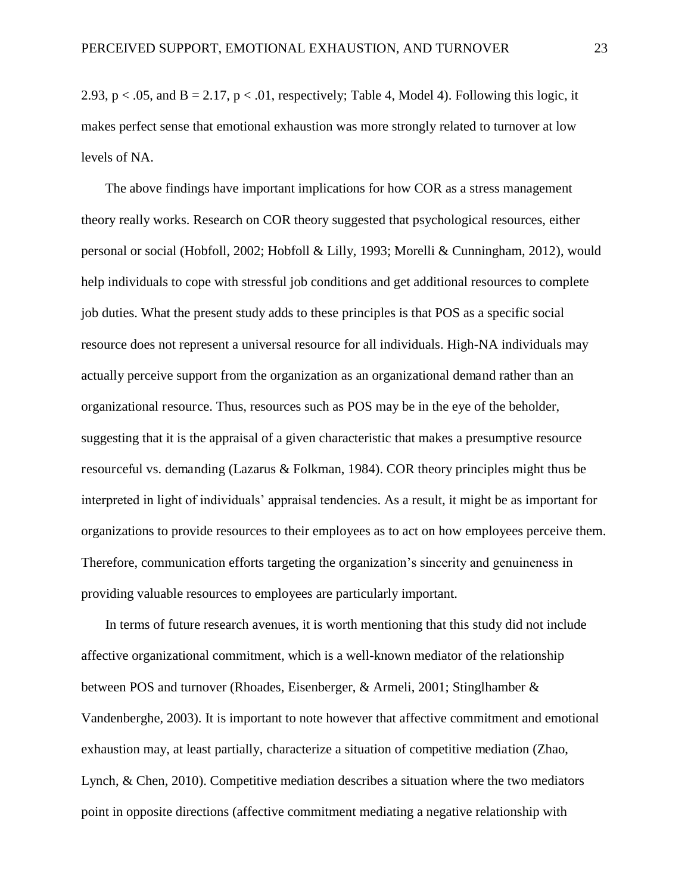2.93,  $p < .05$ , and  $B = 2.17$ ,  $p < .01$ , respectively; Table 4, Model 4). Following this logic, it makes perfect sense that emotional exhaustion was more strongly related to turnover at low levels of NA.

The above findings have important implications for how COR as a stress management theory really works. Research on COR theory suggested that psychological resources, either personal or social (Hobfoll, 2002; Hobfoll & Lilly, 1993; Morelli & Cunningham, 2012), would help individuals to cope with stressful job conditions and get additional resources to complete job duties. What the present study adds to these principles is that POS as a specific social resource does not represent a universal resource for all individuals. High-NA individuals may actually perceive support from the organization as an organizational demand rather than an organizational resource. Thus, resources such as POS may be in the eye of the beholder, suggesting that it is the appraisal of a given characteristic that makes a presumptive resource resourceful vs. demanding (Lazarus & Folkman, 1984). COR theory principles might thus be interpreted in light of individuals' appraisal tendencies. As a result, it might be as important for organizations to provide resources to their employees as to act on how employees perceive them. Therefore, communication efforts targeting the organization's sincerity and genuineness in providing valuable resources to employees are particularly important.

In terms of future research avenues, it is worth mentioning that this study did not include affective organizational commitment, which is a well-known mediator of the relationship between POS and turnover (Rhoades, Eisenberger, & Armeli, 2001; Stinglhamber & Vandenberghe, 2003). It is important to note however that affective commitment and emotional exhaustion may, at least partially, characterize a situation of competitive mediation (Zhao, Lynch, & Chen, 2010). Competitive mediation describes a situation where the two mediators point in opposite directions (affective commitment mediating a negative relationship with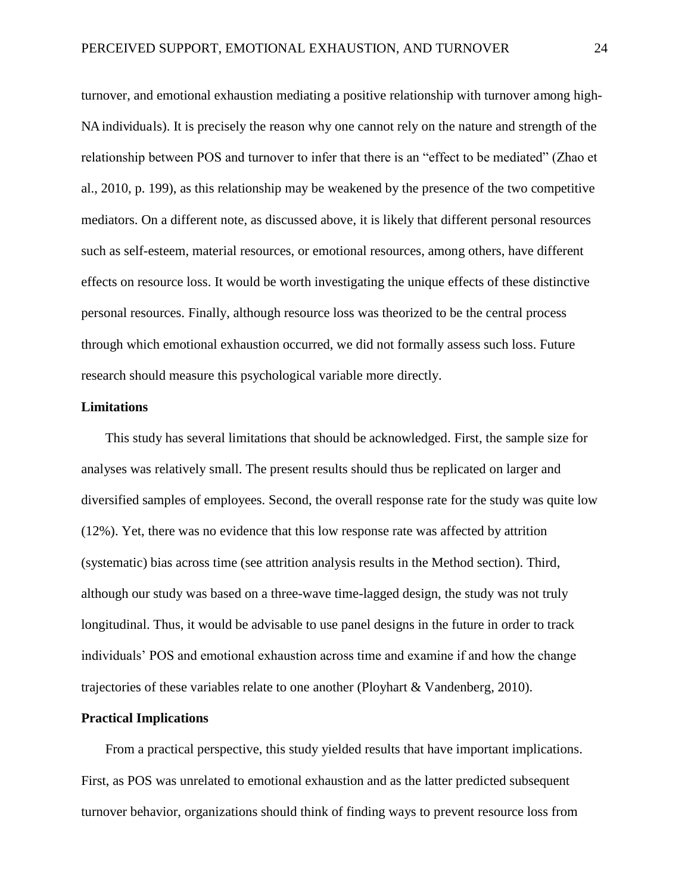turnover, and emotional exhaustion mediating a positive relationship with turnover among high-NA individuals). It is precisely the reason why one cannot rely on the nature and strength of the relationship between POS and turnover to infer that there is an "effect to be mediated" (Zhao et al., 2010, p. 199), as this relationship may be weakened by the presence of the two competitive mediators. On a different note, as discussed above, it is likely that different personal resources such as self-esteem, material resources, or emotional resources, among others, have different effects on resource loss. It would be worth investigating the unique effects of these distinctive personal resources. Finally, although resource loss was theorized to be the central process through which emotional exhaustion occurred, we did not formally assess such loss. Future research should measure this psychological variable more directly.

#### **Limitations**

This study has several limitations that should be acknowledged. First, the sample size for analyses was relatively small. The present results should thus be replicated on larger and diversified samples of employees. Second, the overall response rate for the study was quite low (12%). Yet, there was no evidence that this low response rate was affected by attrition (systematic) bias across time (see attrition analysis results in the Method section). Third, although our study was based on a three-wave time-lagged design, the study was not truly longitudinal. Thus, it would be advisable to use panel designs in the future in order to track individuals' POS and emotional exhaustion across time and examine if and how the change trajectories of these variables relate to one another (Ployhart & Vandenberg, 2010).

#### **Practical Implications**

From a practical perspective, this study yielded results that have important implications. First, as POS was unrelated to emotional exhaustion and as the latter predicted subsequent turnover behavior, organizations should think of finding ways to prevent resource loss from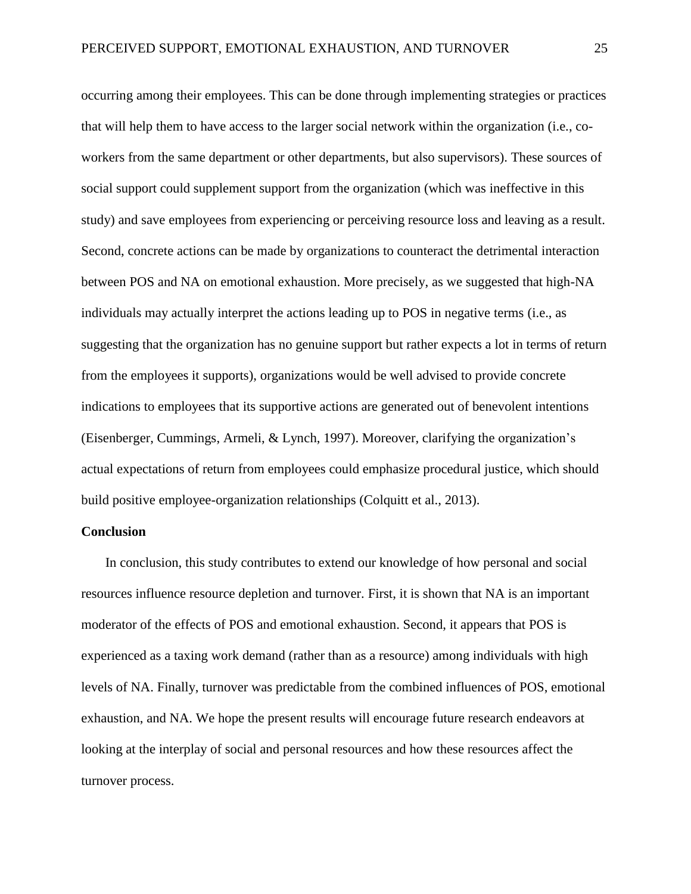occurring among their employees. This can be done through implementing strategies or practices that will help them to have access to the larger social network within the organization (i.e., coworkers from the same department or other departments, but also supervisors). These sources of social support could supplement support from the organization (which was ineffective in this study) and save employees from experiencing or perceiving resource loss and leaving as a result. Second, concrete actions can be made by organizations to counteract the detrimental interaction between POS and NA on emotional exhaustion. More precisely, as we suggested that high-NA individuals may actually interpret the actions leading up to POS in negative terms (i.e., as suggesting that the organization has no genuine support but rather expects a lot in terms of return from the employees it supports), organizations would be well advised to provide concrete indications to employees that its supportive actions are generated out of benevolent intentions (Eisenberger, Cummings, Armeli, & Lynch, 1997). Moreover, clarifying the organization's actual expectations of return from employees could emphasize procedural justice, which should build positive employee-organization relationships (Colquitt et al., 2013).

#### **Conclusion**

In conclusion, this study contributes to extend our knowledge of how personal and social resources influence resource depletion and turnover. First, it is shown that NA is an important moderator of the effects of POS and emotional exhaustion. Second, it appears that POS is experienced as a taxing work demand (rather than as a resource) among individuals with high levels of NA. Finally, turnover was predictable from the combined influences of POS, emotional exhaustion, and NA. We hope the present results will encourage future research endeavors at looking at the interplay of social and personal resources and how these resources affect the turnover process.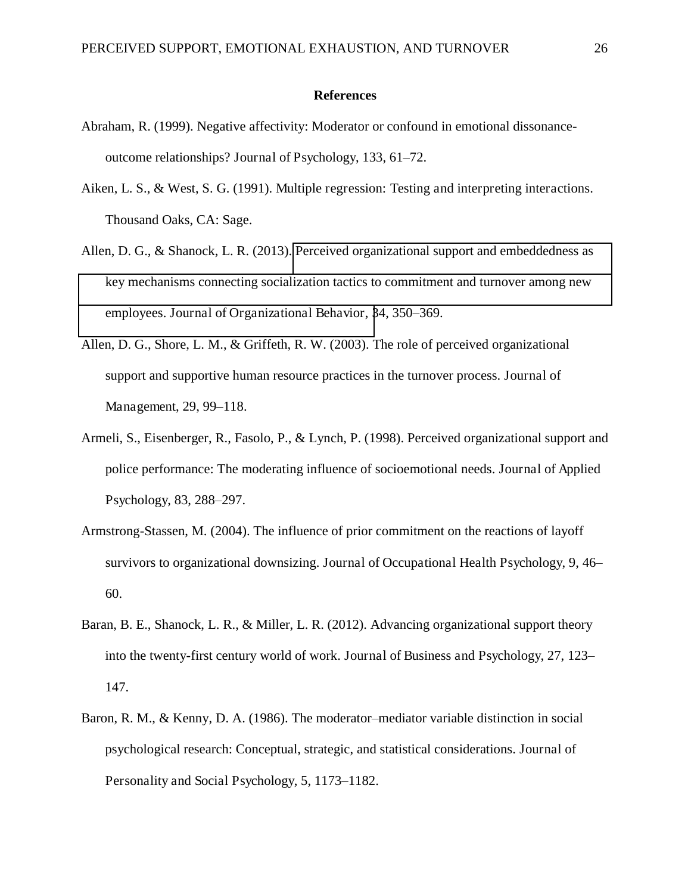#### **References**

- Abraham, R. (1999). Negative affectivity: Moderator or confound in emotional dissonanceoutcome relationships? Journal of Psychology,  $133, 61–72$ .
- Aiken, L. S., & West, S. G. (1991). Multiple regression: Testing and interpreting interactions. Thousand Oaks, CA: Sage.
- Allen, D. G., & Shanock, L. R. (2013). [Perceived organizational support and embeddedness as](http://proxy2.hec.ca:2235/full_record.do?product=WOS&search_mode=GeneralSearch&qid=4&SID=2BCPwros8VyjHy8G6jR&page=1&doc=2)  [key mechanisms connecting socialization tactics to commitment and turnover among new](http://proxy2.hec.ca:2235/full_record.do?product=WOS&search_mode=GeneralSearch&qid=4&SID=2BCPwros8VyjHy8G6jR&page=1&doc=2)  [employees. Journal of Organizational Behavior, 3](http://proxy2.hec.ca:2235/full_record.do?product=WOS&search_mode=GeneralSearch&qid=4&SID=2BCPwros8VyjHy8G6jR&page=1&doc=2)4, 350–369.
- Allen, D. G., Shore, L. M., & Griffeth, R. W. (2003). The role of perceived organizational support and supportive human resource practices in the turnover process. Journal of Management, 29, 99–118.
- Armeli, S., Eisenberger, R., Fasolo, P., & Lynch, P. (1998). Perceived organizational support and police performance: The moderating influence of socioemotional needs. Journal of Applied Psychology, 83, 288–297.
- Armstrong-Stassen, M. (2004). The influence of prior commitment on the reactions of layoff survivors to organizational downsizing. Journal of Occupational Health Psychology, 9, 46– 60.
- Baran, B. E., Shanock, L. R., & Miller, L. R. (2012). Advancing organizational support theory into the twenty-first century world of work. Journal of Business and Psychology, 27, 123– 147.
- Baron, R. M., & Kenny, D. A. (1986). The moderator–mediator variable distinction in social psychological research: Conceptual, strategic, and statistical considerations. Journal of Personality and Social Psychology, 5, 1173–1182.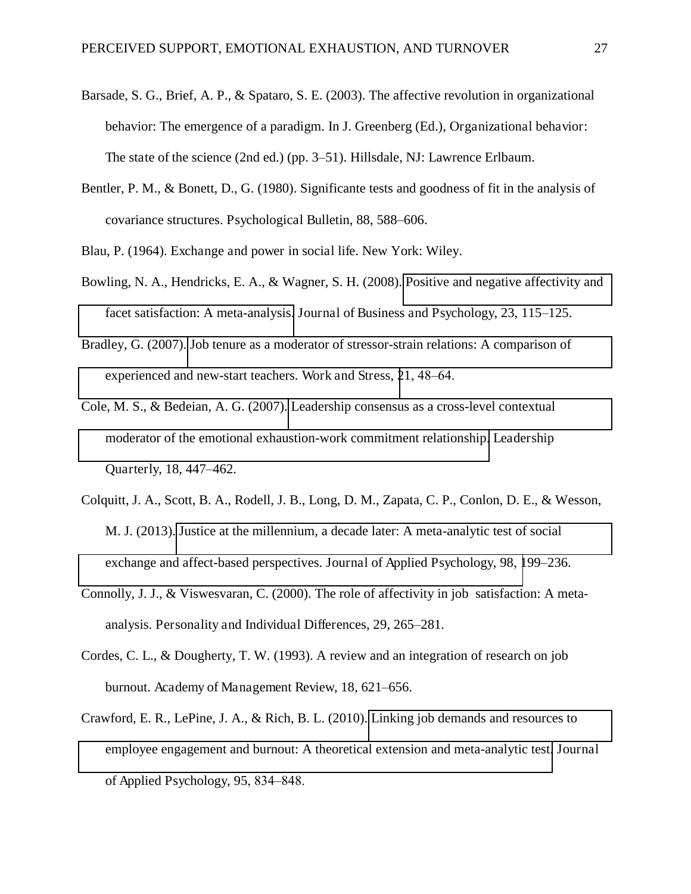- Barsade, S. G., Brief, A. P., & Spataro, S. E. (2003). The affective revolution in organizational behavior: The emergence of a paradigm. In J. Greenberg (Ed.), Organizational behavior: The state of the science (2nd ed.) (pp. 3–51). Hillsdale, NJ: Lawrence Erlbaum.
- Bentler, P. M., & Bonett, D., G. (1980). Significante tests and goodness of fit in the analysis of covariance structures. Psychological Bulletin, 88, 588–606.
- Blau, P. (1964). Exchange and power in social life. New York: Wiley.
- Bowling, N. A., Hendricks, E. A., & Wagner, S. H. (2008). [Positive and negative affectivity and](http://apps.isiknowledge.com.proxy2.hec.ca/full_record.do?product=WOS&search_mode=GeneralSearch&qid=13&SID=3EhhONh9m7Jl9ekmGnm&page=1&doc=1)  [facet satisfaction: A meta-analysis.](http://apps.isiknowledge.com.proxy2.hec.ca/full_record.do?product=WOS&search_mode=GeneralSearch&qid=13&SID=3EhhONh9m7Jl9ekmGnm&page=1&doc=1) Journal of Business and Psychology, 23, 115–125.
- Bradley, G. (2007). [Job tenure as a moderator of stressor-strain relations: A comparison of](http://proxy2.hec.ca:2235/full_record.do?product=WOS&search_mode=GeneralSearch&qid=1&SID=3F72jOCetyxLtIdkwkq&page=1&doc=2)  [experienced and new-start teachers. Work and Stress, 2](http://proxy2.hec.ca:2235/full_record.do?product=WOS&search_mode=GeneralSearch&qid=1&SID=3F72jOCetyxLtIdkwkq&page=1&doc=2)1, 48–64.
- Cole, M. S., & Bedeian, A. G. (2007). [Leadership consensus as a cross-level contextual](http://proxy2.hec.ca:2063/full_record.do?product=WOS&search_mode=GeneralSearch&qid=24&SID=3B2Pjf1P15385kH3ceb&page=1&doc=1)  [moderator of the emotional exhaustion-work commitment relationship.](http://proxy2.hec.ca:2063/full_record.do?product=WOS&search_mode=GeneralSearch&qid=24&SID=3B2Pjf1P15385kH3ceb&page=1&doc=1) Leadership Quarterly, 18, 447–462.
- Colquitt, J. A., Scott, B. A., Rodell, J. B., Long, D. M., Zapata, C. P., Conlon, D. E., & Wesson, M. J. (2013). [Justice at the millennium, a decade later: A meta-analytic test of social](http://proxy2.hec.ca:2235/full_record.do?product=WOS&search_mode=GeneralSearch&qid=6&SID=3F72jOCetyxLtIdkwkq&page=1&doc=6)  [exchange and affect-based perspectives. Journal of Applied Psychology, 98, 1](http://proxy2.hec.ca:2235/full_record.do?product=WOS&search_mode=GeneralSearch&qid=6&SID=3F72jOCetyxLtIdkwkq&page=1&doc=6)99–236.
- Connolly, J. J., & Viswesvaran, C. (2000). The role of affectivity in job satisfaction: A metaanalysis. Personality and Individual Differences, 29, 265–281.
- Cordes, C. L., & Dougherty, T. W. (1993). A review and an integration of research on job burnout. Academy of Management Review, 18, 621–656.
- Crawford, E. R., LePine, J. A., & Rich, B. L. (2010). [Linking job demands and resources to](http://proxy2.hec.ca:2063/full_record.do?product=WOS&search_mode=GeneralSearch&qid=14&SID=1A@mAAJMic1EbA3aFcg&page=1&doc=1)  [employee engagement and burnout: A theoretical extension and meta-analytic test.](http://proxy2.hec.ca:2063/full_record.do?product=WOS&search_mode=GeneralSearch&qid=14&SID=1A@mAAJMic1EbA3aFcg&page=1&doc=1) Journal of Applied Psychology,  $95, 834-848$ .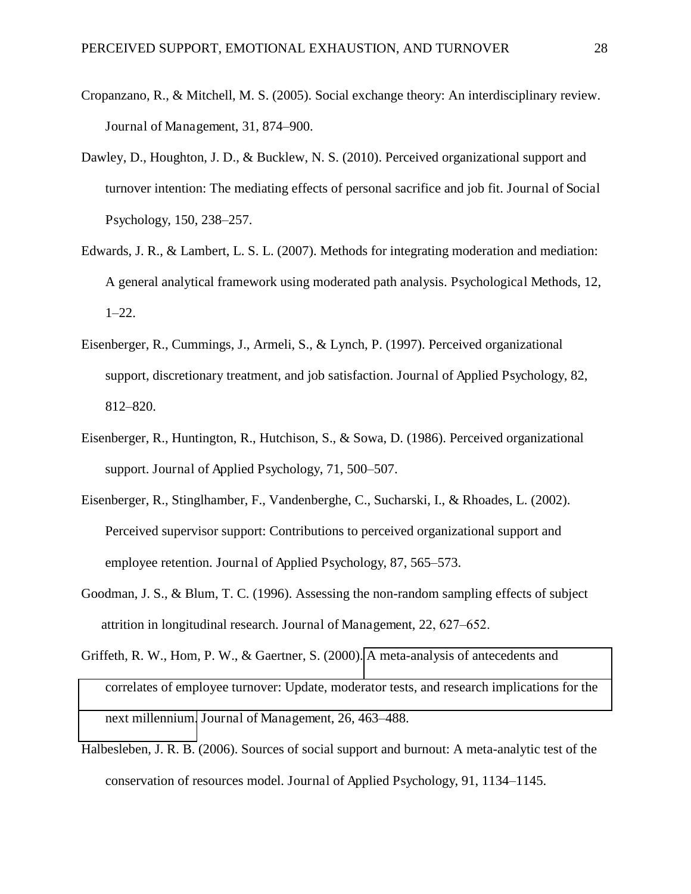- Cropanzano, R., & Mitchell, M. S. (2005). Social exchange theory: An interdisciplinary review. Journal of Management, 31, 874–900.
- Dawley, D., Houghton, J. D., & Bucklew, N. S. (2010). Perceived organizational support and turnover intention: The mediating effects of personal sacrifice and job fit. Journal of Social Psychology, 150, 238–257.
- Edwards, J. R., & Lambert, L. S. L. (2007). Methods for integrating moderation and mediation: A general analytical framework using moderated path analysis. Psychological Methods, 12, 1–22.
- Eisenberger, R., Cummings, J., Armeli, S., & Lynch, P. (1997). Perceived organizational support, discretionary treatment, and job satisfaction. Journal of Applied Psychology, 82, 812-820.
- Eisenberger, R., Huntington, R., Hutchison, S., & Sowa, D. (1986). Perceived organizational support. Journal of Applied Psychology, 71, 500–507.
- Eisenberger, R., Stinglhamber, F., Vandenberghe, C., Sucharski, I., & Rhoades, L. (2002). Perceived supervisor support: Contributions to perceived organizational support and employee retention. Journal of Applied Psychology, 87, 565–573.
- Goodman, J. S., & Blum, T. C. (1996). Assessing the non-random sampling effects of subject attrition in longitudinal research. Journal of Management,  $22, 627-652$ .
- Griffeth, R. W., Hom, P. W., & Gaertner, S. (2000). [A meta-analysis of antecedents and](http://wos01.isiknowledge.com/?SID=ihgOIGHLN4iGPgDKaEP&Func=Abstract&doc=1/101)  [correlates of employee turnover: Update, moderator tests, and research implications for the](http://wos01.isiknowledge.com/?SID=ihgOIGHLN4iGPgDKaEP&Func=Abstract&doc=1/101)  [next millennium.](http://wos01.isiknowledge.com/?SID=ihgOIGHLN4iGPgDKaEP&Func=Abstract&doc=1/101) Journal of Management, 26, 463–488.
- Halbesleben, J. R. B. (2006). Sources of social support and burnout: A meta-analytic test of the conservation of resources model. Journal of Applied Psychology, 91, 1134–1145.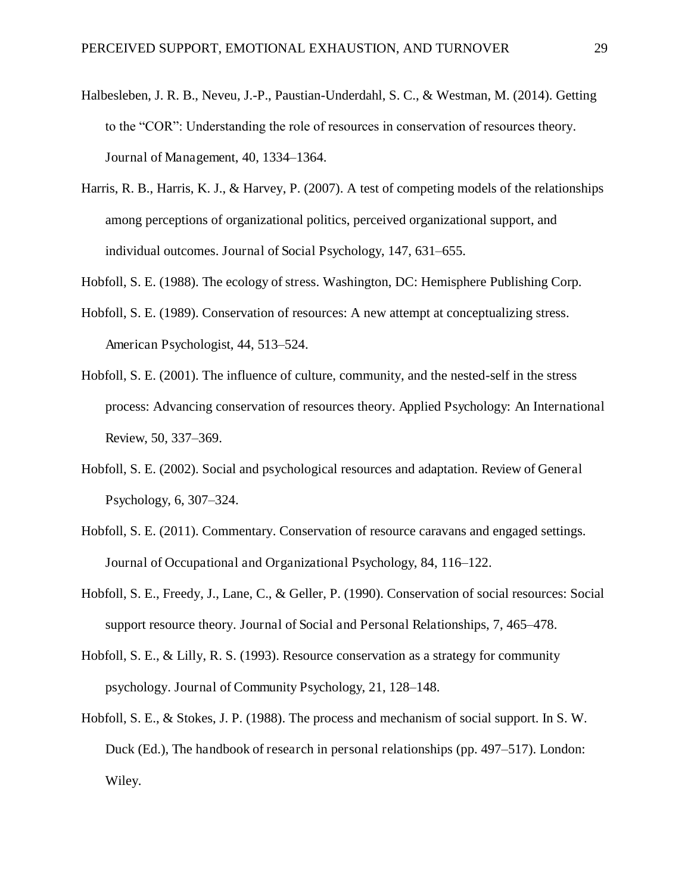- Halbesleben, J. R. B., Neveu, J.-P., Paustian-Underdahl, S. C., & Westman, M. (2014). Getting to the "COR": Understanding the role of resources in conservation of resources theory. Journal of Management,  $40, 1334-1364$ .
- Harris, R. B., Harris, K. J., & Harvey, P. (2007). A test of competing models of the relationships among perceptions of organizational politics, perceived organizational support, and individual outcomes. Journal of Social Psychology, 147, 631–655.
- Hobfoll, S. E. (1988). The ecology of stress. Washington, DC: Hemisphere Publishing Corp.
- Hobfoll, S. E. (1989). Conservation of resources: A new attempt at conceptualizing stress. American Psychologist, 44, 513–524.
- Hobfoll, S. E. (2001). The influence of culture, community, and the nested-self in the stress process: Advancing conservation of resources theory. Applied Psychology: An International Review, 50, 337–369.
- Hobfoll, S. E. (2002). Social and psychological resources and adaptation. Review of General Psychology, 6, 307–324.
- Hobfoll, S. E. (2011). Commentary. Conservation of resource caravans and engaged settings. Journal of Occupational and Organizational Psychology, 84, 116–122.
- Hobfoll, S. E., Freedy, J., Lane, C., & Geller, P. (1990). Conservation of social resources: Social support resource theory. Journal of Social and Personal Relationships, 7, 465–478.
- Hobfoll, S. E., & Lilly, R. S. (1993). Resource conservation as a strategy for community psychology. Journal of Community Psychology, 21, 128–148.
- Hobfoll, S. E., & Stokes, J. P. (1988). The process and mechanism of social support. In S. W. Duck (Ed.), The handbook of research in personal relationships (pp. 497–517). London: Wiley.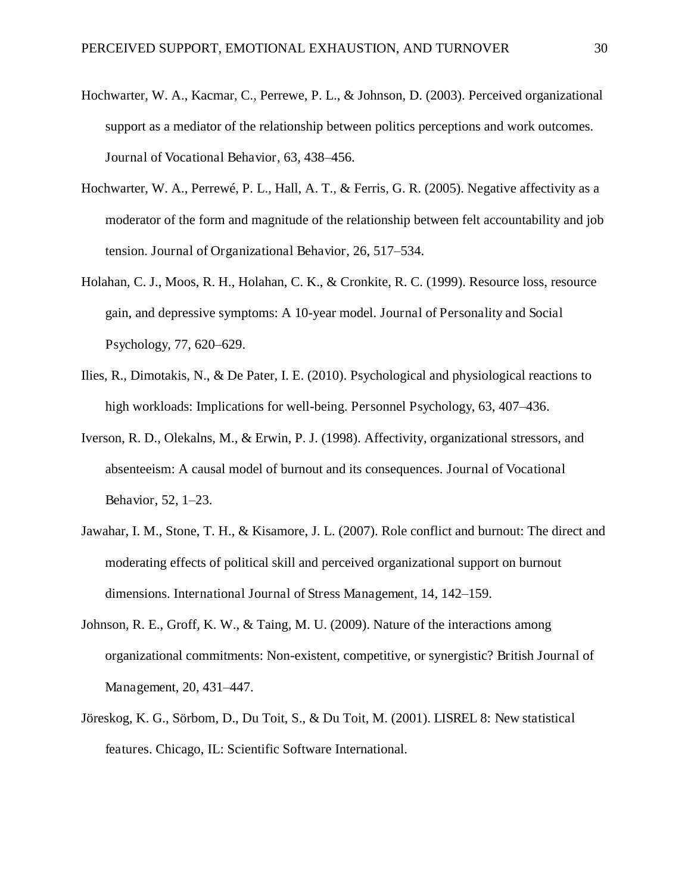- Hochwarter, W. A., Kacmar, C., Perrewe, P. L., & Johnson, D. (2003). Perceived organizational support as a mediator of the relationship between politics perceptions and work outcomes. Journal of Vocational Behavior, 63, 438–456.
- Hochwarter, W. A., Perrewé, P. L., Hall, A. T., & Ferris, G. R. (2005). Negative affectivity as a moderator of the form and magnitude of the relationship between felt accountability and job tension. Journal of Organizational Behavior, 26, 517–534.
- Holahan, C. J., Moos, R. H., Holahan, C. K., & Cronkite, R. C. (1999). Resource loss, resource gain, and depressive symptoms: A 10-year model. Journal of Personality and Social Psychology, 77, 620–629.
- Ilies, R., Dimotakis, N., & De Pater, I. E. (2010). Psychological and physiological reactions to high workloads: Implications for well-being. Personnel Psychology, 63, 407–436.
- Iverson, R. D., Olekalns, M., & Erwin, P. J. (1998). Affectivity, organizational stressors, and absenteeism: A causal model of burnout and its consequences. Journal of Vocational Behavior, 52, 1-23.
- Jawahar, I. M., Stone, T. H., & Kisamore, J. L. (2007). Role conflict and burnout: The direct and moderating effects of political skill and perceived organizational support on burnout dimensions. International Journal of Stress Management, 14, 142–159.
- Johnson, R. E., Groff, K. W., & Taing, M. U. (2009). Nature of the interactions among organizational commitments: Non-existent, competitive, or synergistic? British Journal of Management, 20, 431–447.
- Jöreskog, K. G., Sörbom, D., Du Toit, S., & Du Toit, M. (2001). LISREL 8: New statistical features. Chicago, IL: Scientific Software International.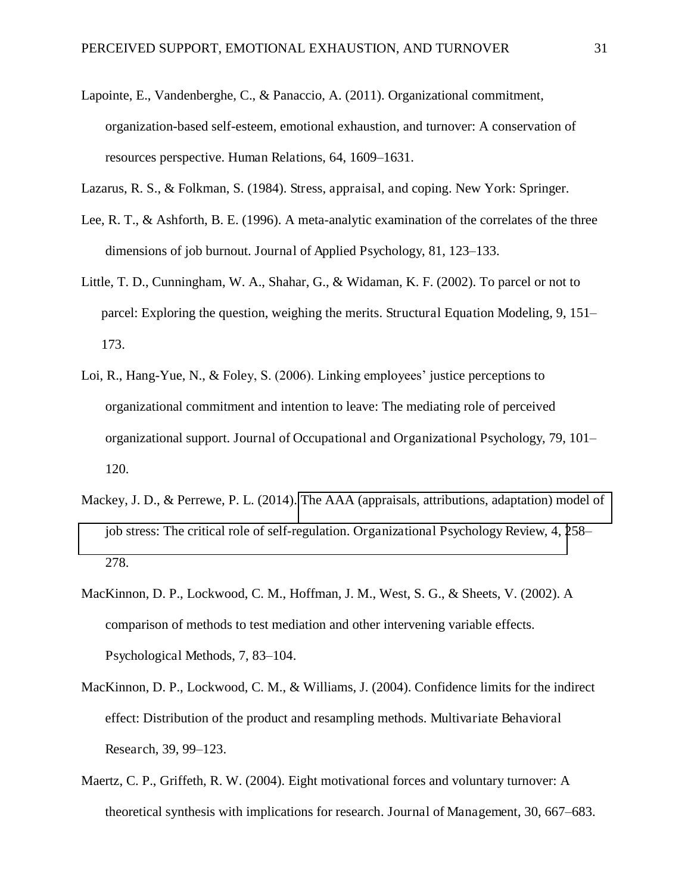- Lapointe, E., Vandenberghe, C., & Panaccio, A. (2011). Organizational commitment, organization-based self-esteem, emotional exhaustion, and turnover: A conservation of resources perspective. Human Relations, 64, 1609–1631.
- Lazarus, R. S., & Folkman, S. (1984). Stress, appraisal, and coping. New York: Springer.
- Lee, R. T., & Ashforth, B. E. (1996). A meta-analytic examination of the correlates of the three dimensions of job burnout. Journal of Applied Psychology, 81, 123–133.
- Little, T. D., Cunningham, W. A., Shahar, G., & Widaman, K. F. (2002). To parcel or not to parcel: Exploring the question, weighing the merits. Structural Equation Modeling, 9, 151– 173.
- Loi, R., Hang-Yue, N., & Foley, S. (2006). Linking employees' justice perceptions to organizational commitment and intention to leave: The mediating role of perceived organizational support. Journal of Occupational and Organizational Psychology, 79, 101挑 120.
- Mackey, J. D., & Perrewe, P. L. (2014). [The AAA \(appraisals, attributions, adaptation\) model of](http://proxy2.hec.ca:2235/full_record.do?product=WOS&search_mode=GeneralSearch&qid=6&SID=3DVXI8CxVydsKcYKYyW&page=1&doc=1)  [job stress: The critical role of self-regulation. Organizational Psychology Review, 4, 2](http://proxy2.hec.ca:2235/full_record.do?product=WOS&search_mode=GeneralSearch&qid=6&SID=3DVXI8CxVydsKcYKYyW&page=1&doc=1)58– 278.
- MacKinnon, D. P., Lockwood, C. M., Hoffman, J. M., West, S. G., & Sheets, V. (2002). A comparison of methods to test mediation and other intervening variable effects. Psychological Methods, 7, 83–104.
- MacKinnon, D. P., Lockwood, C. M., & Williams, J. (2004). Confidence limits for the indirect effect: Distribution of the product and resampling methods. Multivariate Behavioral Research, 39, 99–123.
- Maertz, C. P., Griffeth, R. W. (2004). Eight motivational forces and voluntary turnover: A theoretical synthesis with implications for research. Journal of Management, 30, 667–683.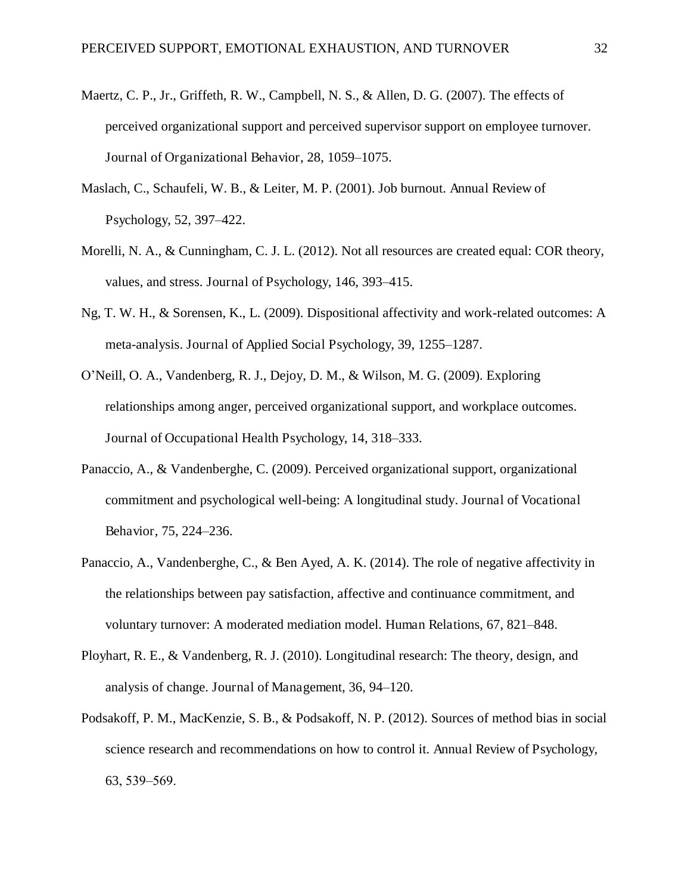- Maertz, C. P., Jr., Griffeth, R. W., Campbell, N. S., & Allen, D. G. (2007). The effects of perceived organizational support and perceived supervisor support on employee turnover. Journal of Organizational Behavior, 28, 1059–1075.
- Maslach, C., Schaufeli, W. B., & Leiter, M. P. (2001). Job burnout. Annual Review of Psychology, 52, 397–422.
- Morelli, N. A., & Cunningham, C. J. L. (2012). Not all resources are created equal: COR theory, values, and stress. Journal of Psychology, 146, 393–415.
- Ng, T. W. H., & Sorensen, K., L. (2009). Dispositional affectivity and work-related outcomes: A meta-analysis. Journal of Applied Social Psychology, 39, 1255–1287.
- O'Neill, O. A., Vandenberg, R. J., Dejoy, D. M., & Wilson, M. G. (2009). Exploring relationships among anger, perceived organizational support, and workplace outcomes. Journal of Occupational Health Psychology, 14, 318–333.
- Panaccio, A., & Vandenberghe, C. (2009). Perceived organizational support, organizational commitment and psychological well-being: A longitudinal study. Journal of Vocational Behavior, 75, 224-236.
- Panaccio, A., Vandenberghe, C., & Ben Ayed, A. K. (2014). The role of negative affectivity in the relationships between pay satisfaction, affective and continuance commitment, and voluntary turnover: A moderated mediation model. Human Relations, 67, 821–848.
- Ployhart, R. E., & Vandenberg, R. J. (2010). Longitudinal research: The theory, design, and analysis of change. Journal of Management, 36, 94–120.
- Podsakoff, P. M., MacKenzie, S. B., & Podsakoff, N. P. (2012). Sources of method bias in social science research and recommendations on how to control it. Annual Review of Psychology, 63, 539–569.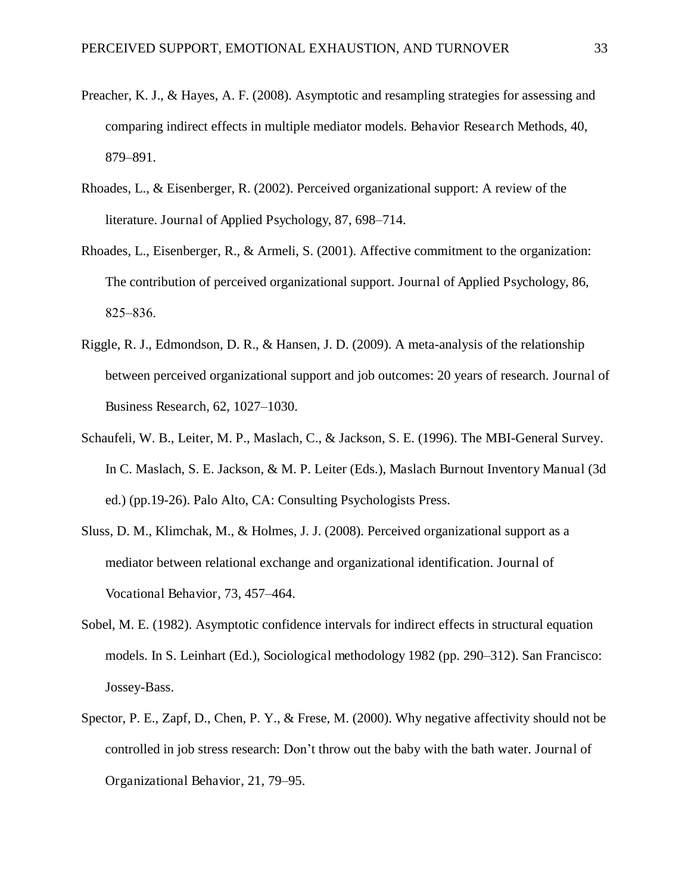- Preacher, K. J., & Hayes, A. F. (2008). Asymptotic and resampling strategies for assessing and comparing indirect effects in multiple mediator models. Behavior Research Methods, 40, 879-891.
- Rhoades, L., & Eisenberger, R. (2002). Perceived organizational support: A review of the literature. Journal of Applied Psychology, 87, 698–714.
- Rhoades, L., Eisenberger, R., & Armeli, S. (2001). Affective commitment to the organization: The contribution of perceived organizational support. Journal of Applied Psychology, 86, 825–836.
- Riggle, R. J., Edmondson, D. R., & Hansen, J. D. (2009). A meta-analysis of the relationship between perceived organizational support and job outcomes: 20 years of research. Journal of Business Research, 62, 1027–1030.
- Schaufeli, W. B., Leiter, M. P., Maslach, C., & Jackson, S. E. (1996). The MBI-General Survey. In C. Maslach, S. E. Jackson, & M. P. Leiter (Eds.), Maslach Burnout Inventory Manual (3d ed.) (pp.19-26). Palo Alto, CA: Consulting Psychologists Press.
- Sluss, D. M., Klimchak, M., & Holmes, J. J. (2008). Perceived organizational support as a mediator between relational exchange and organizational identification. Journal of Vocational Behavior, 73, 457-464.
- Sobel, M. E. (1982). Asymptotic confidence intervals for indirect effects in structural equation models. In S. Leinhart (Ed.), Sociological methodology 1982 (pp. 290–312). San Francisco: Jossey-Bass.
- Spector, P. E., Zapf, D., Chen, P. Y., & Frese, M. (2000). Why negative affectivity should not be controlled in job stress research: Don't throw out the baby with the bath water. Journal of Organizational Behavior, 21, 79–95.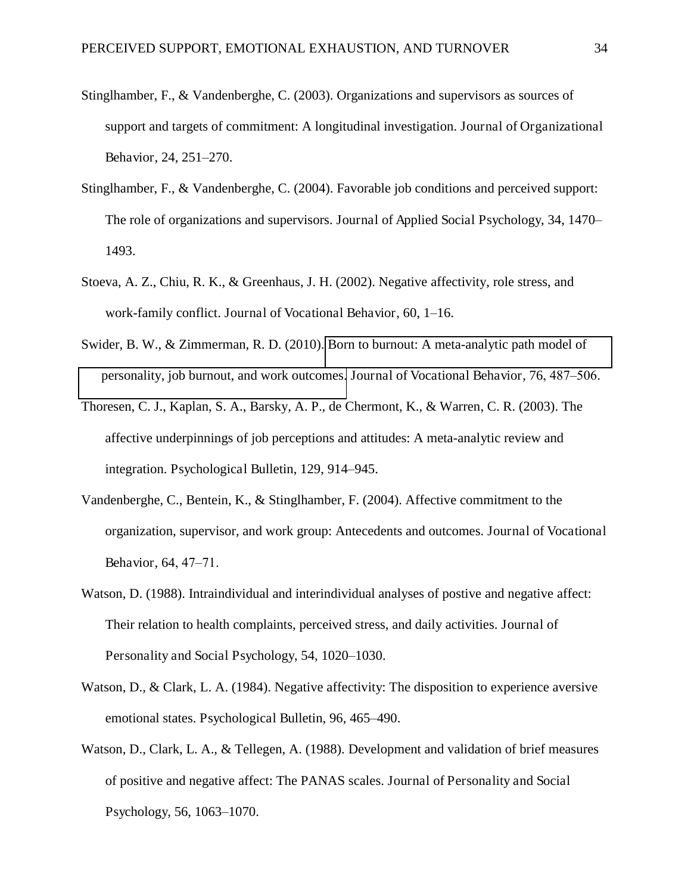- Stinglhamber, F., & Vandenberghe, C. (2003). Organizations and supervisors as sources of support and targets of commitment: A longitudinal investigation. Journal of Organizational Behavior, 24, 251–270.
- Stinglhamber, F., & Vandenberghe, C. (2004). Favorable job conditions and perceived support: The role of organizations and supervisors. Journal of Applied Social Psychology, 34, 1470– 1493.
- Stoeva, A. Z., Chiu, R. K., & Greenhaus, J. H. (2002). Negative affectivity, role stress, and work-family conflict. Journal of Vocational Behavior, 60, 1–16.
- Swider, B. W., & Zimmerman, R. D. (2010). [Born to burnout: A meta-analytic path model of](http://proxy2.hec.ca:2063/full_record.do?product=WOS&search_mode=GeneralSearch&qid=5&SID=1A@mAAJMic1EbA3aFcg&page=1&doc=1)  [personality, job burnout, and work outcomes.](http://proxy2.hec.ca:2063/full_record.do?product=WOS&search_mode=GeneralSearch&qid=5&SID=1A@mAAJMic1EbA3aFcg&page=1&doc=1) Journal of Vocational Behavior, 76, 487–506.
- Thoresen, C. J., Kaplan, S. A., Barsky, A. P., de Chermont, K., & Warren, C. R. (2003). The affective underpinnings of job perceptions and attitudes: A meta-analytic review and integration. Psychological Bulletin, 129, 914–945.
- Vandenberghe, C., Bentein, K., & Stinglhamber, F. (2004). Affective commitment to the organization, supervisor, and work group: Antecedents and outcomes. Journal of Vocational Behavior, 64, 47-71.
- Watson, D. (1988). Intraindividual and interindividual analyses of postive and negative affect: Their relation to health complaints, perceived stress, and daily activities. Journal of Personality and Social Psychology, 54, 1020–1030.
- Watson, D., & Clark, L. A. (1984). Negative affectivity: The disposition to experience aversive emotional states. Psychological Bulletin, 96, 465–490.
- Watson, D., Clark, L. A., & Tellegen, A. (1988). Development and validation of brief measures of positive and negative affect: The PANAS scales. Journal of Personality and Social Psychology, 56, 1063–1070.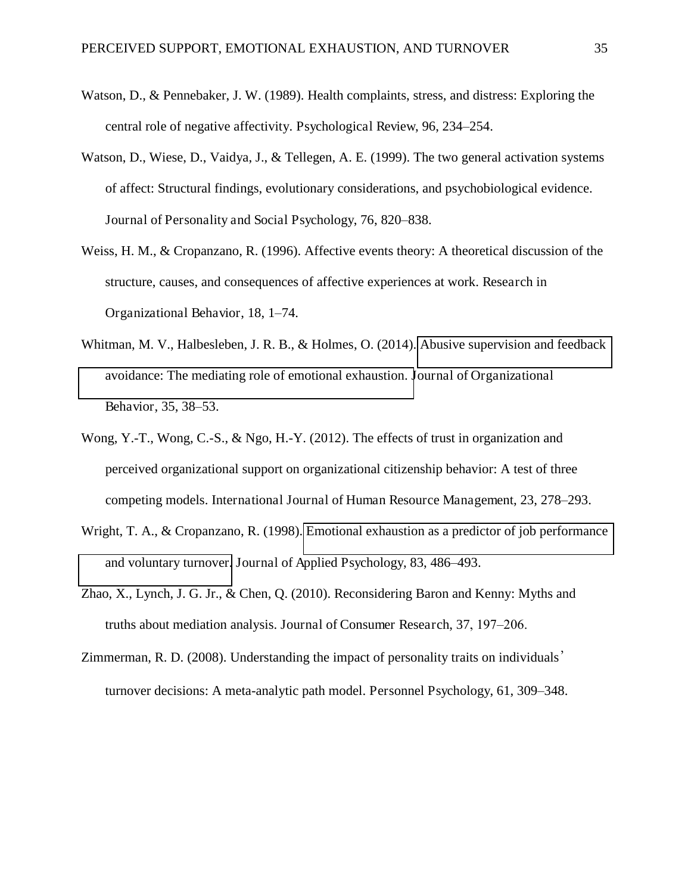- Watson, D., & Pennebaker, J. W. (1989). Health complaints, stress, and distress: Exploring the central role of negative affectivity. Psychological Review, 96, 234–254.
- Watson, D., Wiese, D., Vaidya, J., & Tellegen, A. E. (1999). The two general activation systems of affect: Structural findings, evolutionary considerations, and psychobiological evidence. Journal of Personality and Social Psychology, 76, 820–838.
- Weiss, H. M., & Cropanzano, R. (1996). Affective events theory: A theoretical discussion of the structure, causes, and consequences of affective experiences at work. Research in Organizational Behavior, 18, 1–74.
- Whitman, M. V., Halbesleben, J. R. B., & Holmes, O. (2014). Abusive supervision and feedback [avoidance: The mediating role of emotional exhaustion. J](http://proxy2.hec.ca:2235/full_record.do?product=WOS&search_mode=GeneralSearch&qid=3&SID=3F72jOCetyxLtIdkwkq&page=1&doc=2)ournal of Organizational Behavior, 35, 38–53.
- Wong, Y.-T., Wong, C.-S., & Ngo, H.-Y. (2012). The effects of trust in organization and perceived organizational support on organizational citizenship behavior: A test of three competing models. International Journal of Human Resource Management, 23, 278–293.
- Wright, T. A., & Cropanzano, R. (1998). [Emotional exhaustion as a predictor of job performance](http://proxy2.hec.ca:2063/full_record.do?product=WOS&search_mode=GeneralSearch&qid=6&SID=1A@mAAJMic1EbA3aFcg&page=1&doc=6)  [and voluntary turnover.](http://proxy2.hec.ca:2063/full_record.do?product=WOS&search_mode=GeneralSearch&qid=6&SID=1A@mAAJMic1EbA3aFcg&page=1&doc=6) Journal of Applied Psychology, 83, 486–493.
- Zhao, X., Lynch, J. G. Jr., & Chen, Q. (2010). Reconsidering Baron and Kenny: Myths and truths about mediation analysis. Journal of Consumer Research, 37, 197-206.
- Zimmerman, R. D. (2008). Understanding the impact of personality traits on individuals' turnover decisions: A meta-analytic path model. Personnel Psychology, 61, 309–348.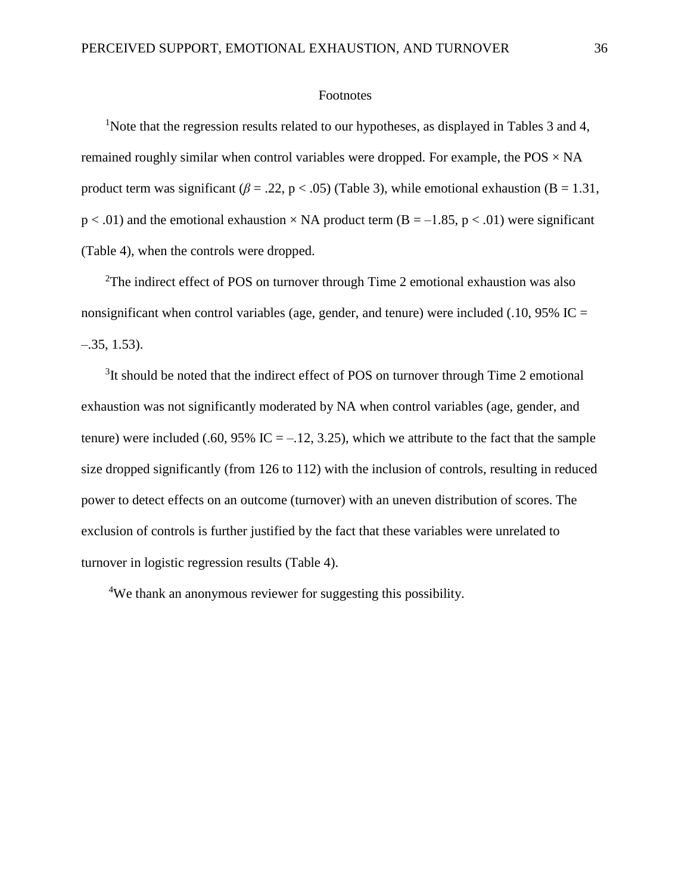#### Footnotes

<sup>1</sup>Note that the regression results related to our hypotheses, as displayed in Tables 3 and 4, remained roughly similar when control variables were dropped. For example, the  $POS \times NA$ product term was significant ( $\beta$  = .22, p < .05) (Table 3), while emotional exhaustion (B = 1.31,  $p < .01$ ) and the emotional exhaustion  $\times$  NA product term (B = -1.85, p < .01) were significant (Table 4), when the controls were dropped.

<sup>2</sup>The indirect effect of POS on turnover through Time 2 emotional exhaustion was also nonsignificant when control variables (age, gender, and tenure) were included (.10, 95% IC =  $-.35, 1.53$ .

<sup>3</sup>It should be noted that the indirect effect of POS on turnover through Time 2 emotional exhaustion was not significantly moderated by NA when control variables (age, gender, and tenure) were included (.60, 95% IC =  $-12$ , 3.25), which we attribute to the fact that the sample size dropped significantly (from 126 to 112) with the inclusion of controls, resulting in reduced power to detect effects on an outcome (turnover) with an uneven distribution of scores. The exclusion of controls is further justified by the fact that these variables were unrelated to turnover in logistic regression results (Table 4).

<sup>4</sup>We thank an anonymous reviewer for suggesting this possibility.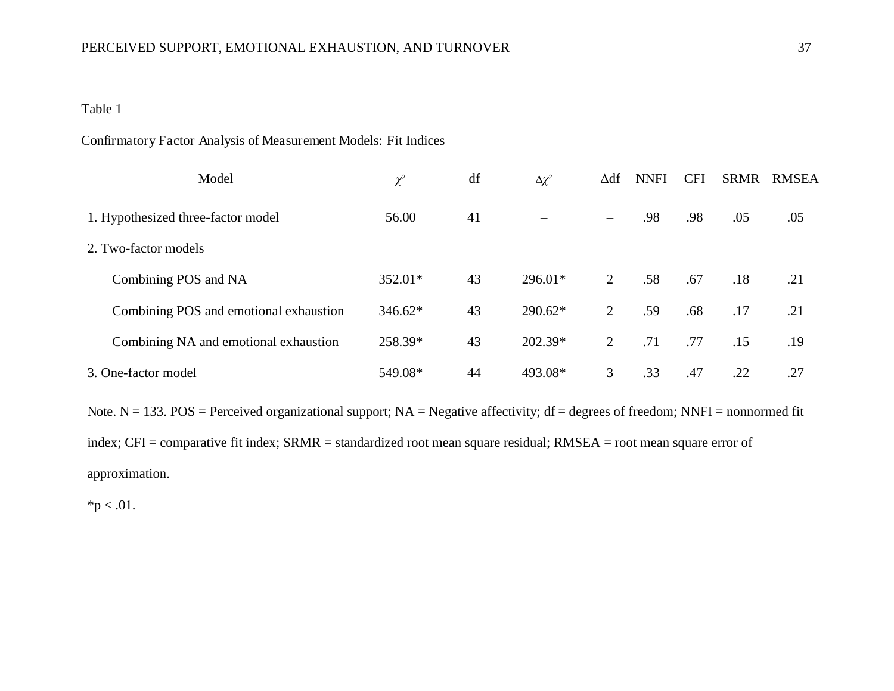# Confirmatory Factor Analysis of Measurement Models: Fit Indices

| Model                                  | $\chi^2$ | df | $\Delta \chi^2$ | ∆df            | <b>NNFI</b> | <b>CFI</b> | <b>SRMR</b> | <b>RMSEA</b> |
|----------------------------------------|----------|----|-----------------|----------------|-------------|------------|-------------|--------------|
| 1. Hypothesized three-factor model     | 56.00    | 41 |                 |                | .98         | .98        | .05         | .05          |
| 2. Two-factor models                   |          |    |                 |                |             |            |             |              |
| Combining POS and NA                   | 352.01*  | 43 | $296.01*$       | 2              | .58         | .67        | .18         | .21          |
| Combining POS and emotional exhaustion | 346.62*  | 43 | $290.62*$       | $\overline{2}$ | .59         | .68        | .17         | .21          |
| Combining NA and emotional exhaustion  | 258.39*  | 43 | 202.39*         | 2              | .71         | .77        | .15         | .19          |
| 3. One-factor model                    | 549.08*  | 44 | 493.08*         | 3              | .33         | .47        | .22         | .27          |

Note.  $N = 133$ . POS = Perceived organizational support;  $NA = Negative$  affectivity; df = degrees of freedom; NNFI = nonnormed fit index; CFI = comparative fit index; SRMR = standardized root mean square residual; RMSEA = root mean square error of approximation.

 $*p < .01$ .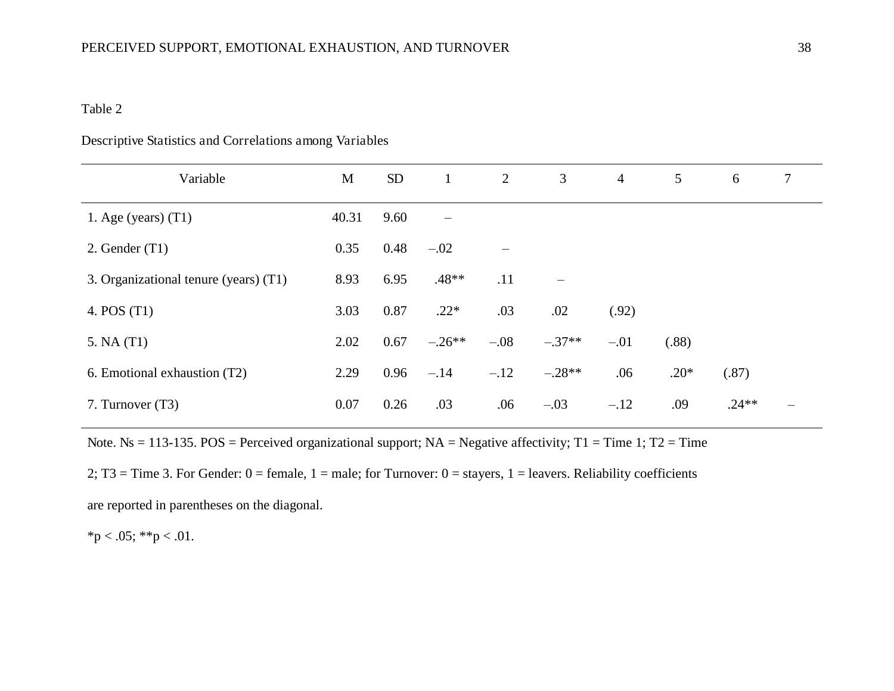## Descriptive Statistics and Correlations among Variables

| Variable                              | M     | <b>SD</b> | $\mathbf{1}$    | 2      | 3        | $\overline{4}$ | 5      | 6       | 7 |
|---------------------------------------|-------|-----------|-----------------|--------|----------|----------------|--------|---------|---|
| 1. Age (years) $(T1)$                 | 40.31 | 9.60      | $\qquad \qquad$ |        |          |                |        |         |   |
| 2. Gender $(T1)$                      | 0.35  | 0.48      | $-.02$          |        |          |                |        |         |   |
| 3. Organizational tenure (years) (T1) | 8.93  | 6.95      | $.48**$         | .11    | —        |                |        |         |   |
| 4. POS (T1)                           | 3.03  | 0.87      | $.22*$          | .03    | .02      | (.92)          |        |         |   |
| 5. NA(T1)                             | 2.02  | 0.67      | $-.26**$        | $-.08$ | $-.37**$ | $-.01$         | (.88)  |         |   |
| 6. Emotional exhaustion (T2)          | 2.29  | 0.96      | $-.14$          | $-.12$ | $-.28**$ | .06            | $.20*$ | (.87)   |   |
| 7. Turnover (T3)                      | 0.07  | 0.26      | .03             | .06    | $-.03$   | $-.12$         | .09    | $.24**$ |   |

Note. Ns = 113-135. POS = Perceived organizational support;  $NA$  = Negative affectivity; T1 = Time 1; T2 = Time

2; T3 = Time 3. For Gender:  $0 =$  female,  $1 =$  male; for Turnover:  $0 =$  stayers,  $1 =$  leavers. Reliability coefficients

are reported in parentheses on the diagonal.

 $*p < .05; **p < .01.$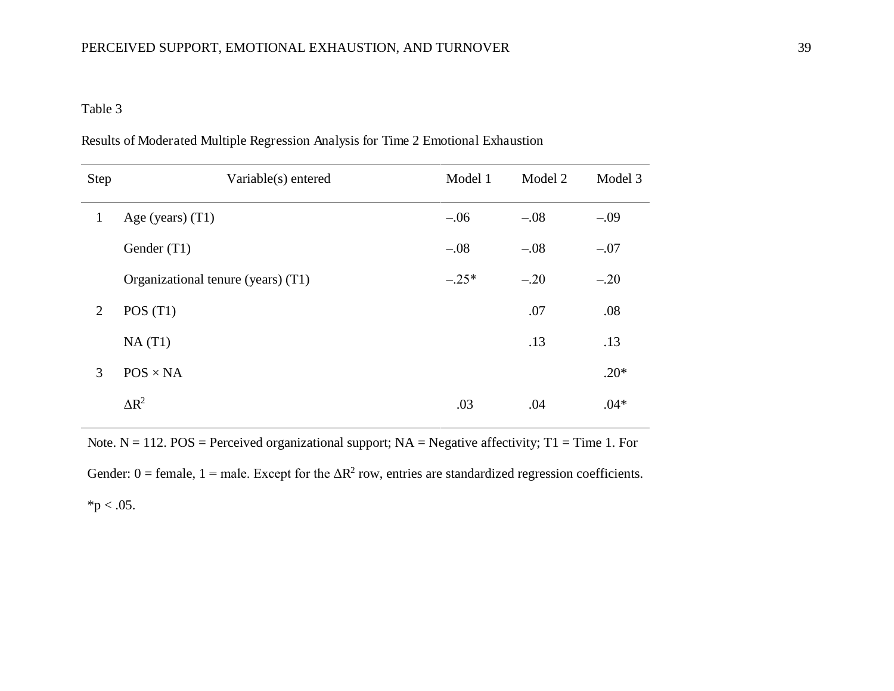| <b>Step</b>    | Variable(s) entered                | Model 1 | Model 2 | Model 3 |
|----------------|------------------------------------|---------|---------|---------|
| $\mathbf{1}$   | Age (years) $(T1)$                 | $-.06$  | $-.08$  | $-.09$  |
|                | Gender (T1)                        | $-.08$  | $-.08$  | $-.07$  |
|                | Organizational tenure (years) (T1) | $-.25*$ | $-.20$  | $-.20$  |
| $\overline{2}$ | POS(T1)                            |         | .07     | .08     |
|                | NA(T1)                             |         | .13     | .13     |
| 3              | $POS \times NA$                    |         |         | $.20*$  |
|                | $\Delta R^2$                       | .03     | .04     | $.04*$  |

Results of Moderated Multiple Regression Analysis for Time 2 Emotional Exhaustion

Note.  $N = 112$ . POS = Perceived organizational support;  $NA$  = Negative affectivity; T1 = Time 1. For Gender:  $0 =$  female,  $1 =$  male. Except for the  $\Delta R^2$  row, entries are standardized regression coefficients.  $*p < .05$ .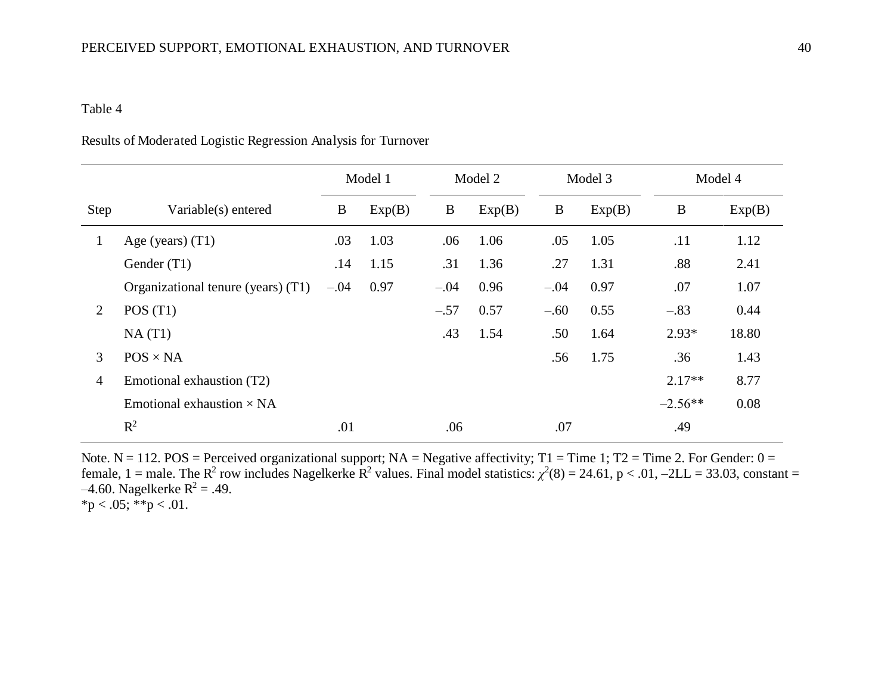## Results of Moderated Logistic Regression Analysis for Turnover

|              |                                    | Model 1<br>Model 2 |        | Model 3  |        | Model 4  |        |           |        |
|--------------|------------------------------------|--------------------|--------|----------|--------|----------|--------|-----------|--------|
| Step         | Variable(s) entered                | $\bf{B}$           | Exp(B) | $\bf{B}$ | Exp(B) | $\bf{B}$ | Exp(B) | $\bf{B}$  | Exp(B) |
| $\mathbf{1}$ | Age (years) $(T1)$                 | .03                | 1.03   | .06      | 1.06   | .05      | 1.05   | .11       | 1.12   |
|              | Gender (T1)                        | .14                | 1.15   | .31      | 1.36   | .27      | 1.31   | .88       | 2.41   |
|              | Organizational tenure (years) (T1) | $-.04$             | 0.97   | $-.04$   | 0.96   | $-.04$   | 0.97   | .07       | 1.07   |
| 2            | POS(T1)                            |                    |        | $-.57$   | 0.57   | $-.60$   | 0.55   | $-.83$    | 0.44   |
|              | NA(T1)                             |                    |        | .43      | 1.54   | .50      | 1.64   | $2.93*$   | 18.80  |
| 3            | $POS \times NA$                    |                    |        |          |        | .56      | 1.75   | .36       | 1.43   |
| 4            | Emotional exhaustion (T2)          |                    |        |          |        |          |        | $2.17**$  | 8.77   |
|              | Emotional exhaustion $\times$ NA   |                    |        |          |        |          |        | $-2.56**$ | 0.08   |
|              | $R^2$                              | .01                |        | .06      |        | .07      |        | .49       |        |

Note.  $N = 112$ . POS = Perceived organizational support;  $NA = Negative$  affectivity; T1 = Time 1; T2 = Time 2. For Gender: 0 = female,  $1 =$  male. The  $R^2$  row includes Nagelkerke  $R^2$  values. Final model statistics:  $\chi^2(8) = 24.61$ ,  $p < .01$ ,  $-2LL = 33.03$ , constant =  $-4.60$ . Nagelkerke R<sup>2</sup> = .49. \*p < .05; \*\*p < .01.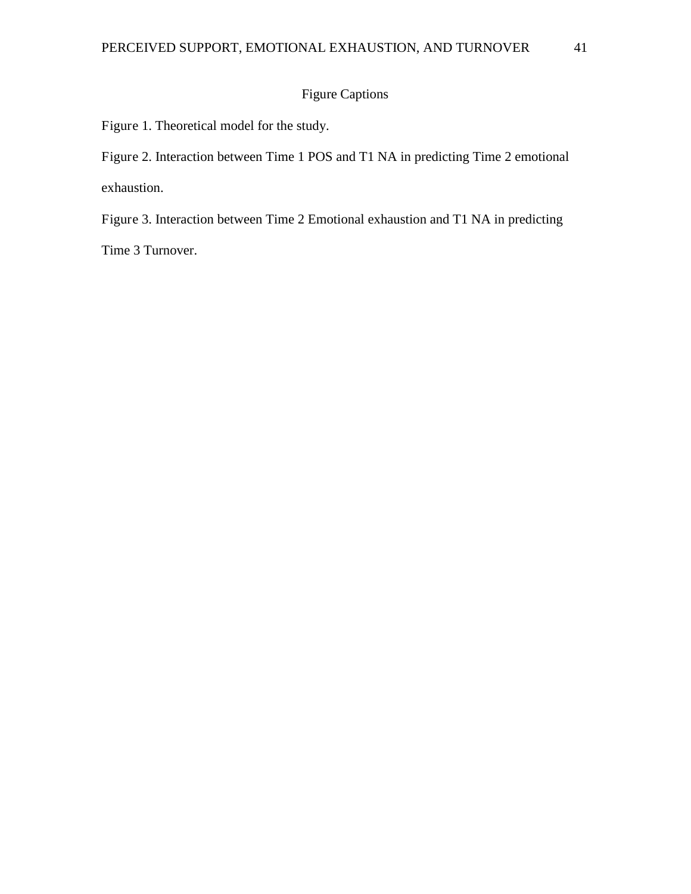# Figure Captions

Figure 1. Theoretical model for the study.

Figure 2. Interaction between Time 1 POS and T1 NA in predicting Time 2 emotional exhaustion.

Figure 3. Interaction between Time 2 Emotional exhaustion and T1 NA in predicting

Time 3 Turnover.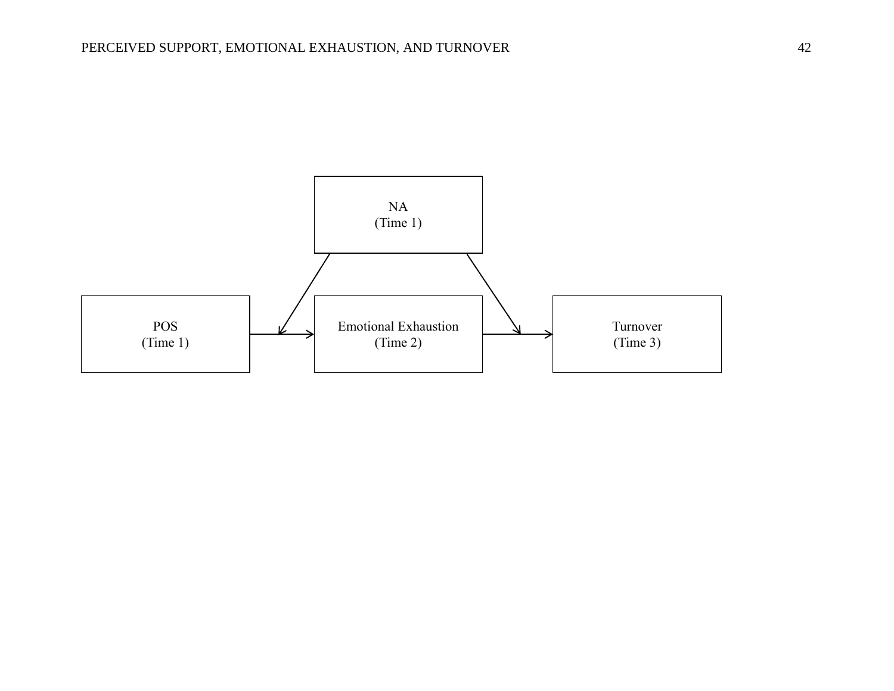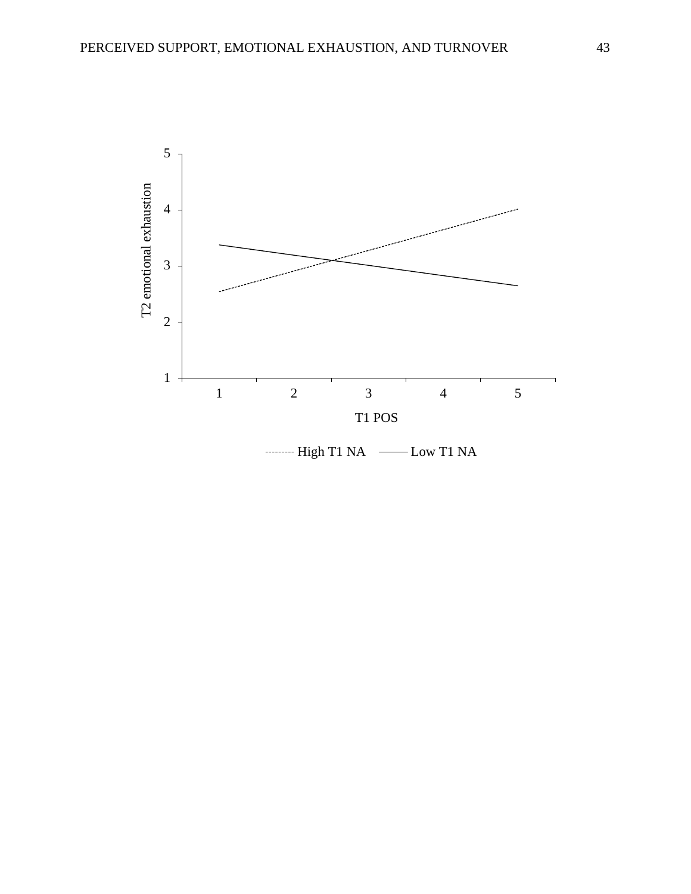

--------- High T1 NA ------- Low T1 NA